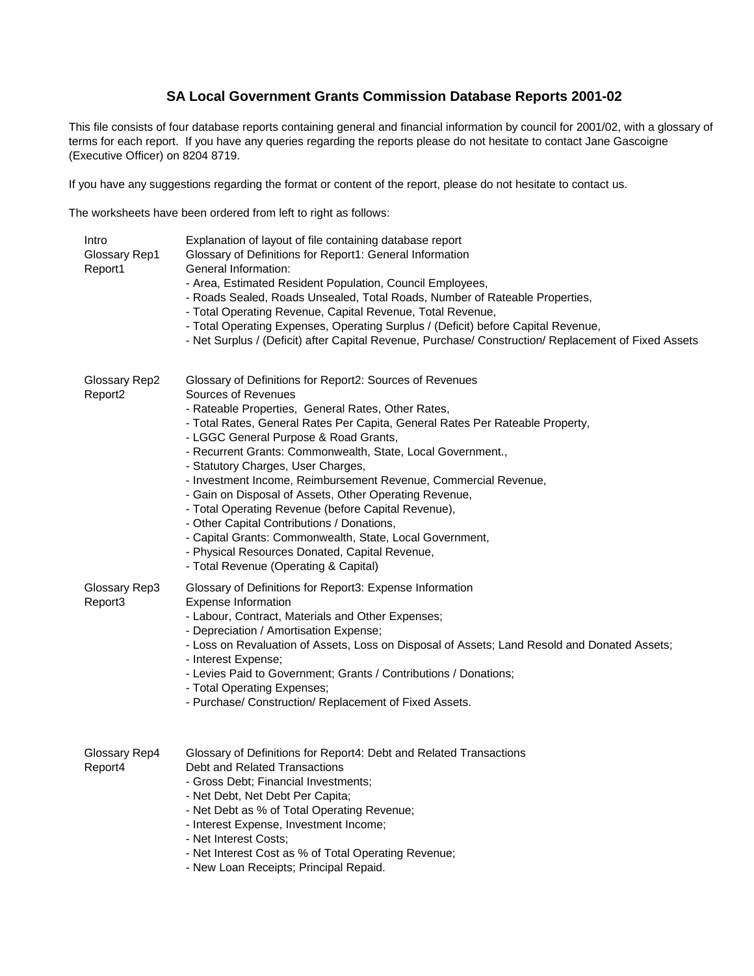# **SA Local Government Grants Commission Database Reports 2001-02**

This file consists of four database reports containing general and financial information by council for 2001/02, with a glossary of terms for each report. If you have any queries regarding the reports please do not hesitate to contact Jane Gascoigne (Executive Officer) on 8204 8719.

If you have any suggestions regarding the format or content of the report, please do not hesitate to contact us.

The worksheets have been ordered from left to right as follows:

| Intro<br>Glossary Rep1<br>Report1 | Explanation of layout of file containing database report<br>Glossary of Definitions for Report1: General Information<br>General Information:<br>- Area, Estimated Resident Population, Council Employees,<br>- Roads Sealed, Roads Unsealed, Total Roads, Number of Rateable Properties,<br>- Total Operating Revenue, Capital Revenue, Total Revenue,<br>- Total Operating Expenses, Operating Surplus / (Deficit) before Capital Revenue,<br>- Net Surplus / (Deficit) after Capital Revenue, Purchase/ Construction/ Replacement of Fixed Assets                                                                                                                                                                                                           |
|-----------------------------------|---------------------------------------------------------------------------------------------------------------------------------------------------------------------------------------------------------------------------------------------------------------------------------------------------------------------------------------------------------------------------------------------------------------------------------------------------------------------------------------------------------------------------------------------------------------------------------------------------------------------------------------------------------------------------------------------------------------------------------------------------------------|
| Glossary Rep2<br>Report2          | Glossary of Definitions for Report2: Sources of Revenues<br>Sources of Revenues<br>- Rateable Properties, General Rates, Other Rates,<br>- Total Rates, General Rates Per Capita, General Rates Per Rateable Property,<br>- LGGC General Purpose & Road Grants,<br>- Recurrent Grants: Commonwealth, State, Local Government.,<br>- Statutory Charges, User Charges,<br>- Investment Income, Reimbursement Revenue, Commercial Revenue,<br>- Gain on Disposal of Assets, Other Operating Revenue,<br>- Total Operating Revenue (before Capital Revenue),<br>- Other Capital Contributions / Donations,<br>- Capital Grants: Commonwealth, State, Local Government,<br>- Physical Resources Donated, Capital Revenue,<br>- Total Revenue (Operating & Capital) |
| Glossary Rep3<br>Report3          | Glossary of Definitions for Report3: Expense Information<br><b>Expense Information</b><br>- Labour, Contract, Materials and Other Expenses;<br>- Depreciation / Amortisation Expense;<br>- Loss on Revaluation of Assets, Loss on Disposal of Assets; Land Resold and Donated Assets;<br>- Interest Expense;<br>- Levies Paid to Government; Grants / Contributions / Donations;<br>- Total Operating Expenses;<br>- Purchase/ Construction/ Replacement of Fixed Assets.                                                                                                                                                                                                                                                                                     |
| Glossary Rep4<br>Report4          | Glossary of Definitions for Report4: Debt and Related Transactions<br>Debt and Related Transactions<br>- Gross Debt; Financial Investments;<br>- Net Debt, Net Debt Per Capita;<br>- Net Debt as % of Total Operating Revenue;<br>- Interest Expense, Investment Income;<br>- Net Interest Costs;<br>- Net Interest Cost as % of Total Operating Revenue;<br>- New Loan Receipts; Principal Repaid.                                                                                                                                                                                                                                                                                                                                                           |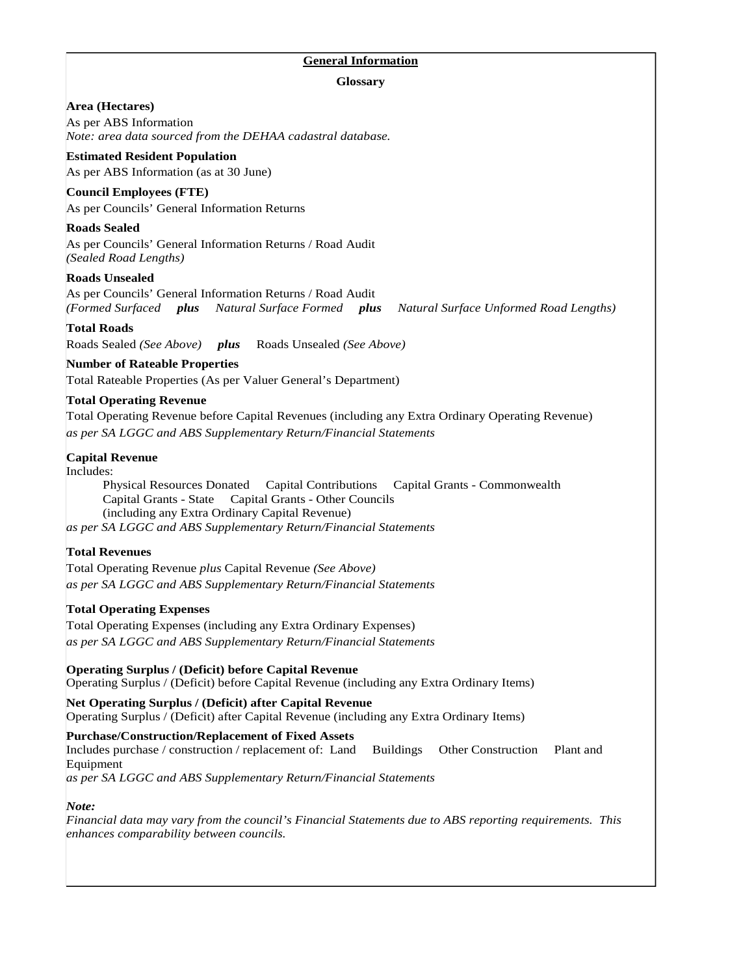## **General Information**

## **Glossary**

## **Area (Hectares)**

As per ABS Information *Note: area data sourced from the DEHAA cadastral database.*

## **Estimated Resident Population**

As per ABS Information (as at 30 June)

## **Council Employees (FTE)**

As per Councils' General Information Returns

## **Roads Sealed**

As per Councils' General Information Returns / Road Audit *(Sealed Road Lengths)* 

## **Roads Unsealed**

As per Councils' General Information Returns / Road Audit *(Formed Surfaced plus Natural Surface Formed plus Natural Surface Unformed Road Lengths)* 

## **Total Roads**

Roads Sealed *(See Above) plus* Roads Unsealed *(See Above)* 

## **Number of Rateable Properties**

Total Rateable Properties (As per Valuer General's Department)

## **Total Operating Revenue**

Total Operating Revenue before Capital Revenues (including any Extra Ordinary Operating Revenue) *as per SA LGGC and ABS Supplementary Return/Financial Statements* 

## **Capital Revenue**

Includes:

Physical Resources Donated Capital Contributions Capital Grants - Commonwealth Capital Grants - State Capital Grants - Other Councils (including any Extra Ordinary Capital Revenue) *as per SA LGGC and ABS Supplementary Return/Financial Statements* 

## **Total Revenues**

Total Operating Revenue *plus* Capital Revenue *(See Above) as per SA LGGC and ABS Supplementary Return/Financial Statements* 

## **Total Operating Expenses**

Total Operating Expenses (including any Extra Ordinary Expenses) *as per SA LGGC and ABS Supplementary Return/Financial Statements* 

**Operating Surplus / (Deficit) before Capital Revenue**  Operating Surplus / (Deficit) before Capital Revenue (including any Extra Ordinary Items)

**Net Operating Surplus / (Deficit) after Capital Revenue**  Operating Surplus / (Deficit) after Capital Revenue (including any Extra Ordinary Items)

## **Purchase/Construction/Replacement of Fixed Assets**

Includes purchase / construction / replacement of: Land Buildings Other Construction Plant and Equipment

*as per SA LGGC and ABS Supplementary Return/Financial Statements*

## *Note:*

*Financial data may vary from the council's Financial Statements due to ABS reporting requirements. This enhances comparability between councils.*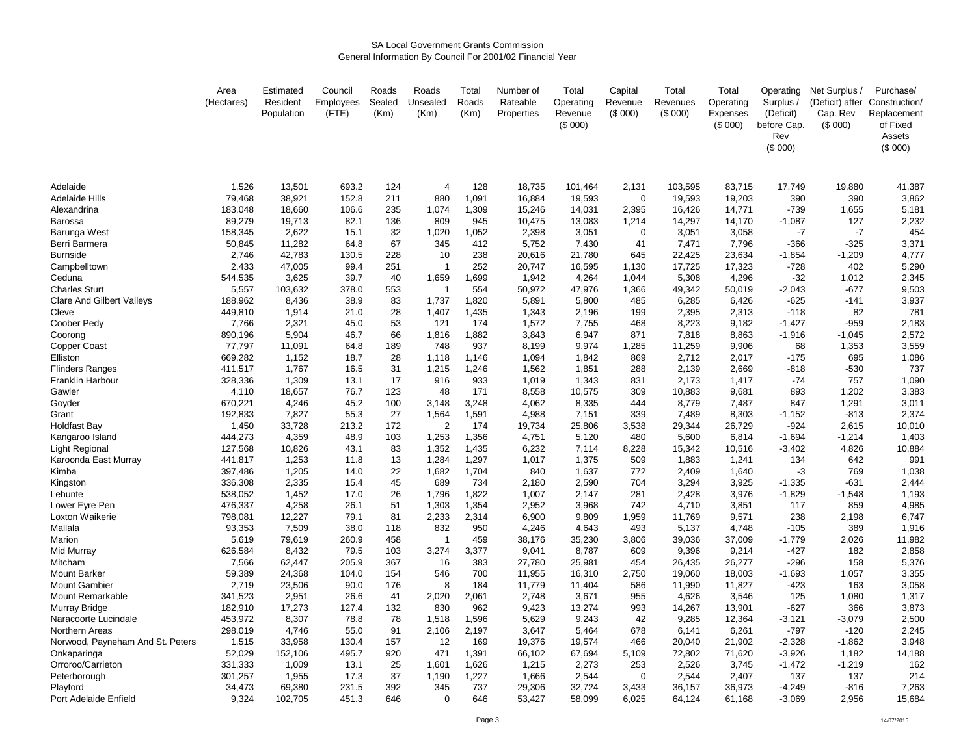#### SA Local Government Grants CommissionGeneral Information By Council For 2001/02 Financial Year

|                                  | Area<br>(Hectares) | Estimated<br>Resident<br>Population | Council<br>Employees<br>(FTE) | Roads<br>Sealed<br>(Km) | Roads<br>Unsealed<br>(Km) | Total<br>Roads<br>(Km) | Number of<br>Rateable<br>Properties | Total<br>Operating<br>Revenue<br>(S 000) | Capital<br>Revenue<br>(\$000) | Total<br>Revenues<br>(\$000) | Total<br>Operating<br>Expenses<br>(S 000) | Operating<br>Surplus /<br>(Deficit)<br>before Cap.<br>Rev<br>(\$000) | Net Surplus /<br>(Deficit) after<br>Cap. Rev<br>(S 000) | Purchase/<br>Construction/<br>Replacement<br>of Fixed<br>Assets<br>(\$000) |
|----------------------------------|--------------------|-------------------------------------|-------------------------------|-------------------------|---------------------------|------------------------|-------------------------------------|------------------------------------------|-------------------------------|------------------------------|-------------------------------------------|----------------------------------------------------------------------|---------------------------------------------------------|----------------------------------------------------------------------------|
| Adelaide                         | 1,526              | 13,501                              | 693.2                         | 124                     | $\overline{4}$            | 128                    | 18,735                              | 101,464                                  | 2,131                         | 103,595                      | 83,715                                    | 17,749                                                               | 19,880                                                  | 41,387                                                                     |
| <b>Adelaide Hills</b>            | 79,468             | 38,921                              | 152.8                         | 211                     | 880                       | 1,091                  | 16,884                              | 19,593                                   | $\mathbf 0$                   | 19,593                       | 19,203                                    | 390                                                                  | 390                                                     | 3,862                                                                      |
| Alexandrina                      | 183,048            | 18,660                              | 106.6                         | 235                     | 1,074                     | 1,309                  | 15,246                              | 14,031                                   | 2,395                         | 16,426                       | 14,771                                    | $-739$                                                               | 1,655                                                   | 5,181                                                                      |
| Barossa                          | 89,279             | 19,713                              | 82.1                          | 136                     | 809                       | 945                    | 10,475                              | 13,083                                   | 1,214                         | 14,297                       | 14,170                                    | $-1,087$                                                             | 127                                                     | 2,232                                                                      |
| Barunga West                     | 158,345            | 2,622                               | 15.1                          | 32                      | 1,020                     | 1,052                  | 2,398                               | 3,051                                    | $\mathbf 0$                   | 3,051                        | 3,058                                     | $-7$                                                                 | $-7$                                                    | 454                                                                        |
| Berri Barmera                    | 50,845             | 11,282                              | 64.8                          | 67                      | 345                       | 412                    | 5,752                               | 7,430                                    | 41                            | 7,471                        | 7,796                                     | $-366$                                                               | $-325$                                                  | 3,371                                                                      |
| <b>Burnside</b>                  | 2,746              | 42,783                              | 130.5                         | 228                     | 10                        | 238                    | 20,616                              | 21,780                                   | 645                           | 22,425                       | 23,634                                    | $-1,854$                                                             | $-1,209$                                                | 4,777                                                                      |
| Campbelltown                     | 2,433              | 47,005                              | 99.4                          | 251                     | -1                        | 252                    | 20,747                              | 16,595                                   | 1,130                         | 17,725                       | 17,323                                    | $-728$                                                               | 402                                                     | 5,290                                                                      |
| Ceduna                           | 544,535            | 3,625                               | 39.7                          | 40                      | 1,659                     | 1,699                  | 1,942                               | 4,264                                    | 1,044                         | 5,308                        | 4,296                                     | $-32$                                                                | 1,012                                                   | 2,345                                                                      |
| <b>Charles Sturt</b>             | 5,557              | 103,632                             | 378.0                         | 553                     | $\mathbf 1$               | 554                    | 50,972                              | 47,976                                   | 1,366                         | 49,342                       | 50,019                                    | $-2,043$                                                             | $-677$                                                  | 9,503                                                                      |
| <b>Clare And Gilbert Valleys</b> | 188,962            | 8,436                               | 38.9                          | 83                      | 1,737                     | 1,820                  | 5,891                               | 5,800                                    | 485                           | 6,285                        | 6,426                                     | $-625$                                                               | $-141$                                                  | 3,937                                                                      |
| Cleve                            | 449,810            | 1,914                               | 21.0                          | 28                      | 1,407                     | 1,435                  | 1,343                               | 2,196                                    | 199                           | 2,395                        | 2,313                                     | $-118$                                                               | 82                                                      | 781                                                                        |
| Coober Pedy                      | 7,766              | 2,321                               | 45.0                          | 53                      | 121                       | 174                    | 1,572                               | 7,755                                    | 468                           | 8,223                        | 9,182                                     | $-1,427$                                                             | $-959$                                                  | 2,183                                                                      |
| Coorong                          | 890,196            | 5,904                               | 46.7                          | 66                      | 1,816                     | 1,882                  | 3,843                               | 6,947                                    | 871                           | 7,818                        | 8,863                                     | $-1,916$                                                             | $-1,045$                                                | 2,572                                                                      |
| Copper Coast                     | 77,797             | 11,091                              | 64.8                          | 189                     | 748                       | 937                    | 8,199                               | 9,974                                    | 1,285                         | 11,259                       | 9,906                                     | 68                                                                   | 1,353                                                   | 3,559                                                                      |
| Elliston                         | 669,282            | 1,152                               | 18.7                          | 28                      | 1,118                     | 1,146                  | 1,094                               | 1,842                                    | 869                           | 2,712                        | 2,017                                     | $-175$                                                               | 695                                                     | 1,086                                                                      |
| <b>Flinders Ranges</b>           | 411,517            | 1,767                               | 16.5                          | 31                      | 1,215                     | 1,246                  | 1,562                               | 1,851                                    | 288                           | 2,139                        | 2,669                                     | $-818$                                                               | $-530$                                                  | 737                                                                        |
| Franklin Harbour                 | 328,336            | 1,309                               | 13.1                          | 17                      | 916                       | 933                    | 1,019                               | 1,343                                    | 831                           | 2,173                        | 1,417                                     | $-74$                                                                | 757                                                     | 1,090                                                                      |
| Gawler                           | 4,110              | 18,657                              | 76.7                          | 123                     | 48                        | 171                    | 8,558                               | 10,575                                   | 309                           | 10,883                       | 9,681                                     | 893                                                                  | 1,202                                                   | 3,383                                                                      |
| Goyder                           | 670,221            | 4,246                               | 45.2                          | 100                     | 3,148                     | 3,248                  | 4,062                               | 8,335                                    | 444                           | 8,779                        | 7,487                                     | 847                                                                  | 1,291                                                   | 3,011                                                                      |
| Grant                            | 192,833            | 7,827                               | 55.3                          | 27                      | 1,564<br>$\overline{2}$   | 1,591                  | 4,988                               | 7,151                                    | 339                           | 7,489                        | 8,303                                     | $-1,152$                                                             | $-813$                                                  | 2,374                                                                      |
| Holdfast Bay                     | 1,450              | 33,728                              | 213.2                         | 172                     |                           | 174                    | 19,734                              | 25,806                                   | 3,538                         | 29,344                       | 26,729                                    | $-924$                                                               | 2,615                                                   | 10,010                                                                     |
| Kangaroo Island                  | 444,273<br>127,568 | 4,359<br>10,826                     | 48.9<br>43.1                  | 103<br>83               | 1,253<br>1,352            | 1,356<br>1,435         | 4,751<br>6,232                      | 5,120                                    | 480<br>8,228                  | 5,600                        | 6,814                                     | $-1,694$<br>$-3,402$                                                 | $-1,214$                                                | 1,403<br>10,884                                                            |
| Light Regional                   | 441,817            | 1,253                               | 11.8                          | 13                      | 1,284                     | 1,297                  | 1,017                               | 7,114<br>1,375                           | 509                           | 15,342<br>1,883              | 10,516<br>1,241                           | 134                                                                  | 4,826<br>642                                            | 991                                                                        |
| Karoonda East Murray             | 397,486            |                                     | 14.0                          | 22                      | 1,682                     | 1,704                  | 840                                 | 1,637                                    | 772                           | 2,409                        | 1,640                                     | -3                                                                   | 769                                                     | 1,038                                                                      |
| Kimba                            | 336,308            | 1,205<br>2,335                      | 15.4                          | 45                      | 689                       | 734                    | 2,180                               | 2,590                                    | 704                           | 3,294                        | 3,925                                     | $-1,335$                                                             | $-631$                                                  | 2,444                                                                      |
| Kingston<br>Lehunte              | 538,052            | 1,452                               | 17.0                          | 26                      | 1,796                     | 1,822                  | 1,007                               | 2,147                                    | 281                           | 2,428                        | 3,976                                     | $-1,829$                                                             | $-1,548$                                                | 1,193                                                                      |
| Lower Eyre Pen                   | 476,337            | 4,258                               | 26.1                          | 51                      | 1,303                     | 1,354                  | 2,952                               | 3,968                                    | 742                           | 4,710                        | 3,851                                     | 117                                                                  | 859                                                     | 4,985                                                                      |
| Loxton Waikerie                  | 798,081            | 12,227                              | 79.1                          | 81                      | 2,233                     | 2,314                  | 6,900                               | 9,809                                    | 1,959                         | 11,769                       | 9,571                                     | 238                                                                  | 2,198                                                   | 6,747                                                                      |
| Mallala                          | 93,353             | 7,509                               | 38.0                          | 118                     | 832                       | 950                    | 4,246                               | 4,643                                    | 493                           | 5,137                        | 4,748                                     | $-105$                                                               | 389                                                     | 1,916                                                                      |
| Marion                           | 5,619              | 79,619                              | 260.9                         | 458                     | -1                        | 459                    | 38,176                              | 35,230                                   | 3,806                         | 39,036                       | 37,009                                    | $-1,779$                                                             | 2,026                                                   | 11,982                                                                     |
| Mid Murray                       | 626,584            | 8,432                               | 79.5                          | 103                     | 3,274                     | 3,377                  | 9,041                               | 8,787                                    | 609                           | 9,396                        | 9,214                                     | $-427$                                                               | 182                                                     | 2,858                                                                      |
| Mitcham                          | 7,566              | 62,447                              | 205.9                         | 367                     | 16                        | 383                    | 27,780                              | 25,981                                   | 454                           | 26,435                       | 26,277                                    | -296                                                                 | 158                                                     | 5,376                                                                      |
| Mount Barker                     | 59,389             | 24,368                              | 104.0                         | 154                     | 546                       | 700                    | 11,955                              | 16,310                                   | 2,750                         | 19,060                       | 18,003                                    | $-1,693$                                                             | 1,057                                                   | 3,355                                                                      |
| <b>Mount Gambier</b>             | 2,719              | 23,506                              | 90.0                          | 176                     | 8                         | 184                    | 11,779                              | 11,404                                   | 586                           | 11,990                       | 11,827                                    | $-423$                                                               | 163                                                     | 3,058                                                                      |
| Mount Remarkable                 | 341,523            | 2,951                               | 26.6                          | 41                      | 2,020                     | 2,061                  | 2,748                               | 3,671                                    | 955                           | 4,626                        | 3,546                                     | 125                                                                  | 1,080                                                   | 1,317                                                                      |
| Murray Bridge                    | 182,910            | 17,273                              | 127.4                         | 132                     | 830                       | 962                    | 9,423                               | 13,274                                   | 993                           | 14,267                       | 13,901                                    | $-627$                                                               | 366                                                     | 3,873                                                                      |
| Naracoorte Lucindale             | 453,972            | 8,307                               | 78.8                          | 78                      | 1,518                     | 1,596                  | 5,629                               | 9,243                                    | 42                            | 9,285                        | 12,364                                    | $-3,121$                                                             | $-3,079$                                                | 2,500                                                                      |
| Northern Areas                   | 298,019            | 4,746                               | 55.0                          | 91                      | 2,106                     | 2,197                  | 3,647                               | 5,464                                    | 678                           | 6,141                        | 6,261                                     | $-797$                                                               | $-120$                                                  | 2,245                                                                      |
| Norwood, Payneham And St. Peters | 1,515              | 33,958                              | 130.4                         | 157                     | 12                        | 169                    | 19,376                              | 19,574                                   | 466                           | 20,040                       | 21,902                                    | $-2,328$                                                             | $-1,862$                                                | 3,948                                                                      |
| Onkaparinga                      | 52,029             | 152,106                             | 495.7                         | 920                     | 471                       | 1,391                  | 66,102                              | 67,694                                   | 5,109                         | 72,802                       | 71,620                                    | $-3,926$                                                             | 1,182                                                   | 14,188                                                                     |
| Orroroo/Carrieton                | 331,333            | 1,009                               | 13.1                          | 25                      | 1,601                     | 1,626                  | 1,215                               | 2,273                                    | 253                           | 2,526                        | 3,745                                     | $-1,472$                                                             | $-1,219$                                                | 162                                                                        |
| Peterborough                     | 301,257            | 1,955                               | 17.3                          | 37                      | 1,190                     | 1,227                  | 1,666                               | 2,544                                    | $\mathbf 0$                   | 2,544                        | 2,407                                     | 137                                                                  | 137                                                     | 214                                                                        |
| Playford                         | 34,473             | 69,380                              | 231.5                         | 392                     | 345                       | 737                    | 29,306                              | 32,724                                   | 3,433                         | 36,157                       | 36,973                                    | $-4,249$                                                             | $-816$                                                  | 7,263                                                                      |
| Port Adelaide Enfield            | 9,324              | 102,705                             | 451.3                         | 646                     | $\Omega$                  | 646                    | 53,427                              | 58,099                                   | 6,025                         | 64,124                       | 61.168                                    | $-3,069$                                                             | 2,956                                                   | 15,684                                                                     |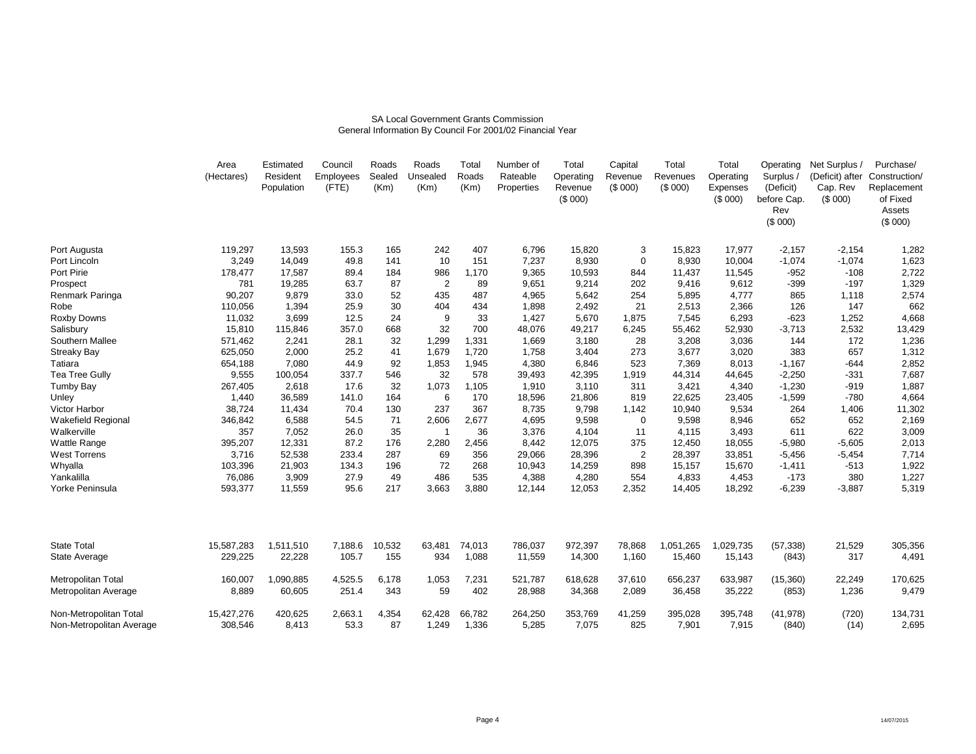#### SA Local Government Grants CommissionGeneral Information By Council For 2001/02 Financial Year

|                                                    | Area<br>(Hectares)    | Estimated<br>Resident<br>Population | Council<br>Employees<br>(FTE) | Roads<br>Sealed<br>(Km) | Roads<br>Unsealed<br>(Km) | Total<br>Roads<br>(Km) | Number of<br>Rateable<br>Properties | Total<br>Operating<br>Revenue<br>(\$000) | Capital<br>Revenue<br>(\$000) | Total<br>Revenues<br>(\$000) | Total<br>Operating<br>Expenses<br>(\$000) | Operating<br>Surplus<br>(Deficit)<br>before Cap.<br>Rev<br>(\$000) | Net Surplus /<br>(Deficit) after<br>Cap. Rev<br>(\$000) | Purchase/<br>Construction/<br>Replacement<br>of Fixed<br>Assets<br>(\$000) |
|----------------------------------------------------|-----------------------|-------------------------------------|-------------------------------|-------------------------|---------------------------|------------------------|-------------------------------------|------------------------------------------|-------------------------------|------------------------------|-------------------------------------------|--------------------------------------------------------------------|---------------------------------------------------------|----------------------------------------------------------------------------|
| Port Augusta                                       | 119,297               | 13,593                              | 155.3                         | 165                     | 242                       | 407                    | 6,796                               | 15,820                                   | 3                             | 15,823                       | 17,977                                    | $-2,157$                                                           | $-2,154$                                                | 1,282                                                                      |
| Port Lincoln                                       | 3,249                 | 14,049                              | 49.8                          | 141                     | 10                        | 151                    | 7,237                               | 8,930                                    | $\mathbf 0$                   | 8,930                        | 10,004                                    | $-1,074$                                                           | $-1,074$                                                | 1,623                                                                      |
| Port Pirie                                         | 178,477               | 17,587                              | 89.4                          | 184                     | 986                       | 1,170                  | 9,365                               | 10,593                                   | 844                           | 11,437                       | 11,545                                    | $-952$                                                             | $-108$                                                  | 2,722                                                                      |
| Prospect                                           | 781                   | 19,285                              | 63.7                          | 87                      | $\overline{2}$            | 89                     | 9,651                               | 9,214                                    | 202                           | 9,416                        | 9,612                                     | $-399$                                                             | $-197$                                                  | 1,329                                                                      |
| Renmark Paringa                                    | 90,207                | 9,879                               | 33.0                          | 52                      | 435                       | 487                    | 4,965                               | 5,642                                    | 254                           | 5,895                        | 4,777                                     | 865                                                                | 1,118                                                   | 2,574                                                                      |
| Robe                                               | 110,056               | 1,394                               | 25.9                          | 30                      | 404                       | 434                    | 1,898                               | 2,492                                    | 21                            | 2,513                        | 2,366                                     | 126                                                                | 147                                                     | 662                                                                        |
| Roxby Downs                                        | 11,032                | 3,699                               | 12.5                          | 24                      | 9                         | 33                     | 1,427                               | 5,670                                    | 1,875                         | 7,545                        | 6,293                                     | $-623$                                                             | 1,252                                                   | 4,668                                                                      |
| Salisbury                                          | 15,810                | 115,846                             | 357.0                         | 668                     | 32                        | 700                    | 48,076                              | 49,217                                   | 6,245                         | 55,462                       | 52,930                                    | $-3,713$                                                           | 2,532                                                   | 13,429                                                                     |
| Southern Mallee                                    | 571,462               | 2,241                               | 28.1                          | 32                      | 1,299                     | 1,331                  | 1,669                               | 3,180                                    | 28                            | 3,208                        | 3,036                                     | 144                                                                | 172                                                     | 1,236                                                                      |
| <b>Streaky Bay</b>                                 | 625,050               | 2,000                               | 25.2                          | 41                      | 1,679                     | 1,720                  | 1,758                               | 3,404                                    | 273                           | 3,677                        | 3,020                                     | 383                                                                | 657                                                     | 1,312                                                                      |
| Tatiara                                            | 654,188               | 7,080                               | 44.9                          | 92                      | 1,853                     | 1,945                  | 4,380                               | 6,846                                    | 523                           | 7,369                        | 8,013                                     | $-1,167$                                                           | $-644$                                                  | 2,852                                                                      |
| Tea Tree Gully                                     | 9,555                 | 100,054                             | 337.7                         | 546                     | 32                        | 578                    | 39,493                              | 42,395                                   | 1,919                         | 44,314                       | 44,645                                    | $-2,250$                                                           | $-331$                                                  | 7,687                                                                      |
| <b>Tumby Bay</b>                                   | 267,405               | 2,618                               | 17.6                          | 32                      | 1,073                     | 1,105                  | 1,910                               | 3,110                                    | 311                           | 3,421                        | 4,340                                     | $-1,230$                                                           | $-919$                                                  | 1,887                                                                      |
| Unley                                              | 1,440                 | 36,589                              | 141.0                         | 164                     | 6                         | 170                    | 18,596                              | 21,806                                   | 819                           | 22,625                       | 23,405                                    | $-1,599$                                                           | $-780$                                                  | 4,664                                                                      |
| Victor Harbor                                      | 38,724                | 11,434                              | 70.4                          | 130                     | 237                       | 367                    | 8,735                               | 9,798                                    | 1,142                         | 10,940                       | 9,534                                     | 264                                                                | 1,406                                                   | 11,302                                                                     |
| <b>Wakefield Regional</b>                          | 346,842               | 6,588                               | 54.5                          | 71                      | 2,606                     | 2,677                  | 4,695                               | 9,598                                    | $\Omega$                      | 9,598                        | 8,946                                     | 652                                                                | 652                                                     | 2,169                                                                      |
| Walkerville                                        | 357                   | 7,052                               | 26.0                          | 35                      |                           | 36                     | 3,376                               | 4,104                                    | 11                            | 4,115                        | 3,493                                     | 611                                                                | 622                                                     | 3,009                                                                      |
| Wattle Range                                       | 395,207               | 12,331                              | 87.2                          | 176                     | 2,280                     | 2,456                  | 8,442                               | 12,075                                   | 375                           | 12,450                       | 18,055                                    | $-5,980$                                                           | $-5,605$                                                | 2,013                                                                      |
| <b>West Torrens</b>                                | 3,716                 | 52,538                              | 233.4                         | 287                     | 69                        | 356                    | 29,066                              | 28,396                                   | $\overline{2}$                | 28,397                       | 33,851                                    | $-5,456$                                                           | $-5,454$                                                | 7,714                                                                      |
| Whyalla                                            | 103,396               | 21,903                              | 134.3                         | 196                     | 72                        | 268                    | 10,943                              | 14,259                                   | 898                           | 15,157                       | 15,670                                    | $-1,411$                                                           | $-513$                                                  | 1,922                                                                      |
| Yankalilla                                         | 76,086                | 3,909                               | 27.9                          | 49                      | 486                       | 535                    | 4,388                               | 4,280                                    | 554                           | 4,833                        | 4,453                                     | $-173$                                                             | 380                                                     | 1,227                                                                      |
| Yorke Peninsula                                    | 593,377               | 11,559                              | 95.6                          | 217                     | 3,663                     | 3,880                  | 12,144                              | 12,053                                   | 2,352                         | 14,405                       | 18,292                                    | $-6,239$                                                           | $-3,887$                                                | 5,319                                                                      |
| <b>State Total</b>                                 |                       |                                     |                               |                         |                           |                        |                                     |                                          |                               | 1,051,265                    |                                           |                                                                    |                                                         |                                                                            |
|                                                    | 15,587,283            | 1,511,510                           | 7,188.6                       | 10,532                  | 63,481                    | 74,013                 | 786,037                             | 972,397                                  | 78,868                        |                              | 1,029,735                                 | (57, 338)                                                          | 21,529                                                  | 305,356                                                                    |
| State Average                                      | 229,225               | 22,228                              | 105.7                         | 155                     | 934                       | 1,088                  | 11,559                              | 14,300                                   | 1,160                         | 15,460                       | 15,143                                    | (843)                                                              | 317                                                     | 4,491                                                                      |
| Metropolitan Total                                 | 160,007               | 1,090,885                           | 4,525.5                       | 6,178                   | 1,053                     | 7,231                  | 521,787                             | 618,628                                  | 37,610                        | 656,237                      | 633,987                                   | (15,360)                                                           | 22,249                                                  | 170,625                                                                    |
| Metropolitan Average                               | 8,889                 | 60,605                              | 251.4                         | 343                     | 59                        | 402                    | 28,988                              | 34,368                                   | 2,089                         | 36,458                       | 35,222                                    | (853)                                                              | 1,236                                                   | 9,479                                                                      |
| Non-Metropolitan Total<br>Non-Metropolitan Average | 15,427,276<br>308,546 | 420,625<br>8.413                    | 2,663.1<br>53.3               | 4,354<br>87             | 62,428<br>1.249           | 66,782<br>1.336        | 264,250<br>5.285                    | 353,769<br>7.075                         | 41,259<br>825                 | 395,028<br>7.901             | 395,748<br>7.915                          | (41, 978)<br>(840)                                                 | (720)<br>(14)                                           | 134,731<br>2,695                                                           |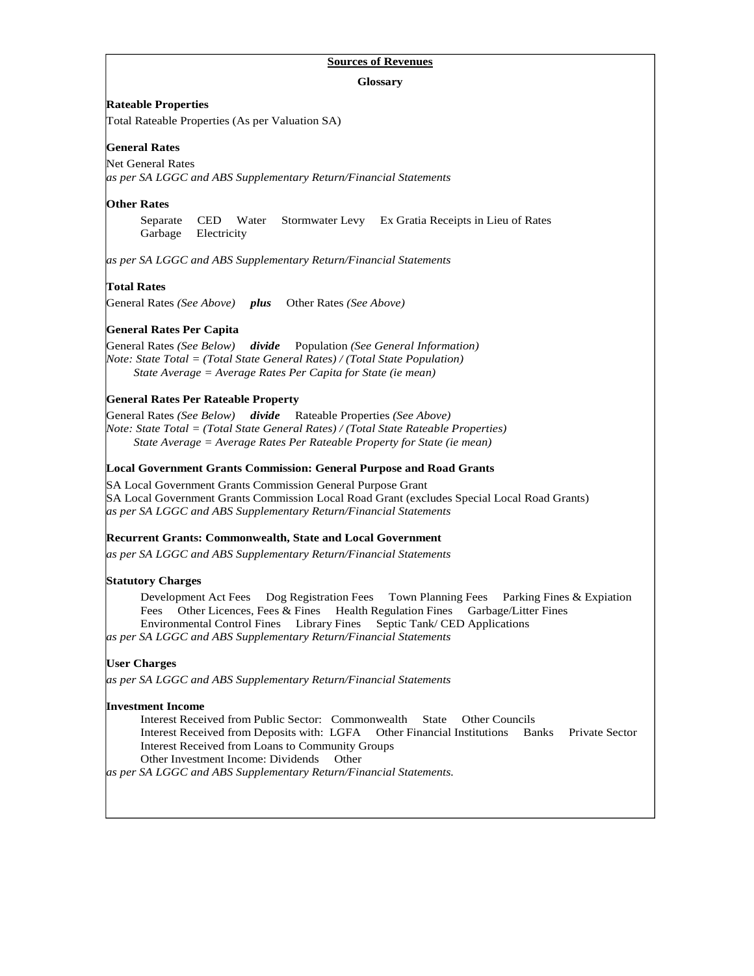## **Sources of Revenues**

**Glossary** 

#### **Rateable Properties**

Total Rateable Properties (As per Valuation SA)

## **General Rates**

Net General Rates *as per SA LGGC and ABS Supplementary Return/Financial Statements* 

#### **Other Rates**

Separate CED Water Stormwater Levy Ex Gratia Receipts in Lieu of Rates Garbage Electricity

*as per SA LGGC and ABS Supplementary Return/Financial Statements* 

#### **Total Rates**

General Rates *(See Above) plus* Other Rates *(See Above)* 

## **General Rates Per Capita**

General Rates *(See Below) divide* Population *(See General Information) Note: State Total = (Total State General Rates) / (Total State Population) State Average = Average Rates Per Capita for State (ie mean)* 

#### **General Rates Per Rateable Property**

General Rates *(See Below) divide* Rateable Properties *(See Above) Note: State Total = (Total State General Rates) / (Total State Rateable Properties) State Average = Average Rates Per Rateable Property for State (ie mean)* 

#### **Local Government Grants Commission: General Purpose and Road Grants**

SA Local Government Grants Commission General Purpose Grant SA Local Government Grants Commission Local Road Grant (excludes Special Local Road Grants) *as per SA LGGC and ABS Supplementary Return/Financial Statements* 

## **Recurrent Grants: Commonwealth, State and Local Government**

*as per SA LGGC and ABS Supplementary Return/Financial Statements* 

#### **Statutory Charges**

Development Act Fees Dog Registration Fees Town Planning Fees Parking Fines & Expiation Fees Other Licences, Fees & Fines Health Regulation Fines Garbage/Litter Fines Environmental Control Fines Library Fines Septic Tank/ CED Applications *as per SA LGGC and ABS Supplementary Return/Financial Statements* 

#### **User Charges**

*as per SA LGGC and ABS Supplementary Return/Financial Statements* 

#### **Investment Income**

Interest Received from Public Sector: Commonwealth State Other Councils Interest Received from Deposits with: LGFA Other Financial Institutions Banks Private Sector Interest Received from Loans to Community Groups Other Investment Income: Dividends Other

*as per SA LGGC and ABS Supplementary Return/Financial Statements.*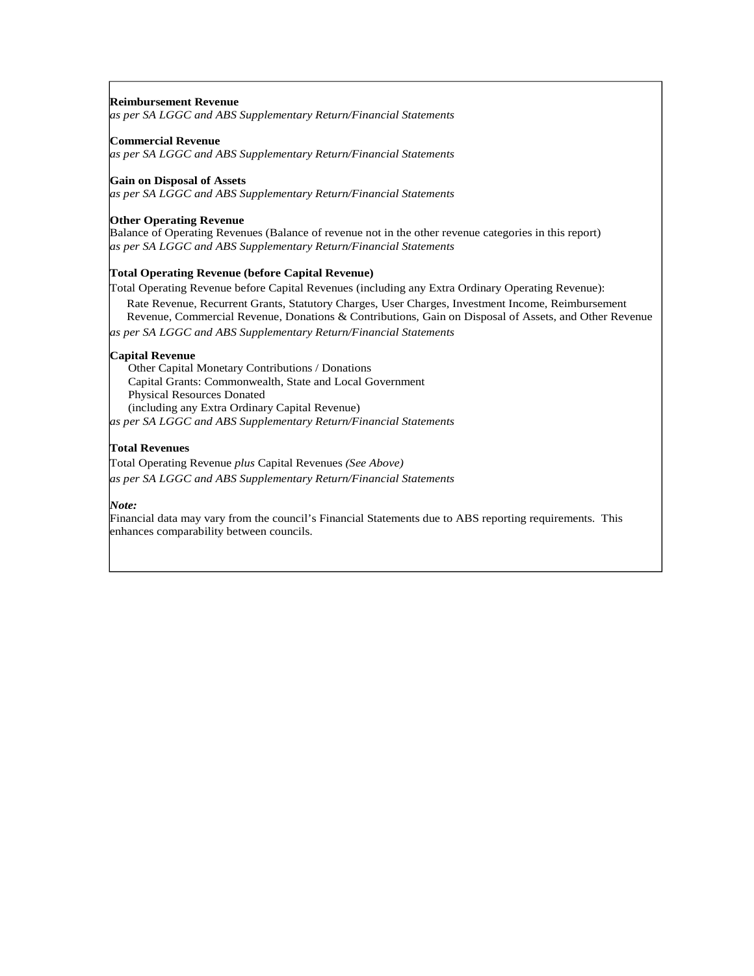#### **Reimbursement Revenue**

*as per SA LGGC and ABS Supplementary Return/Financial Statements* 

#### **Commercial Revenue**

*as per SA LGGC and ABS Supplementary Return/Financial Statements* 

#### **Gain on Disposal of Assets**

*as per SA LGGC and ABS Supplementary Return/Financial Statements*

#### **Other Operating Revenue**

Balance of Operating Revenues (Balance of revenue not in the other revenue categories in this report) *as per SA LGGC and ABS Supplementary Return/Financial Statements* 

#### **Total Operating Revenue (before Capital Revenue)**

Total Operating Revenue before Capital Revenues (including any Extra Ordinary Operating Revenue): Rate Revenue, Recurrent Grants, Statutory Charges, User Charges, Investment Income, Reimbursement Revenue, Commercial Revenue, Donations & Contributions, Gain on Disposal of Assets, and Other Revenue

*as per SA LGGC and ABS Supplementary Return/Financial Statements* 

#### **Capital Revenue**

 Other Capital Monetary Contributions / Donations Capital Grants: Commonwealth, State and Local Government Physical Resources Donated (including any Extra Ordinary Capital Revenue) *as per SA LGGC and ABS Supplementary Return/Financial Statements* 

#### **Total Revenues**

Total Operating Revenue *plus* Capital Revenues *(See Above) as per SA LGGC and ABS Supplementary Return/Financial Statements* 

#### *Note:*

Financial data may vary from the council's Financial Statements due to ABS reporting requirements. This enhances comparability between councils.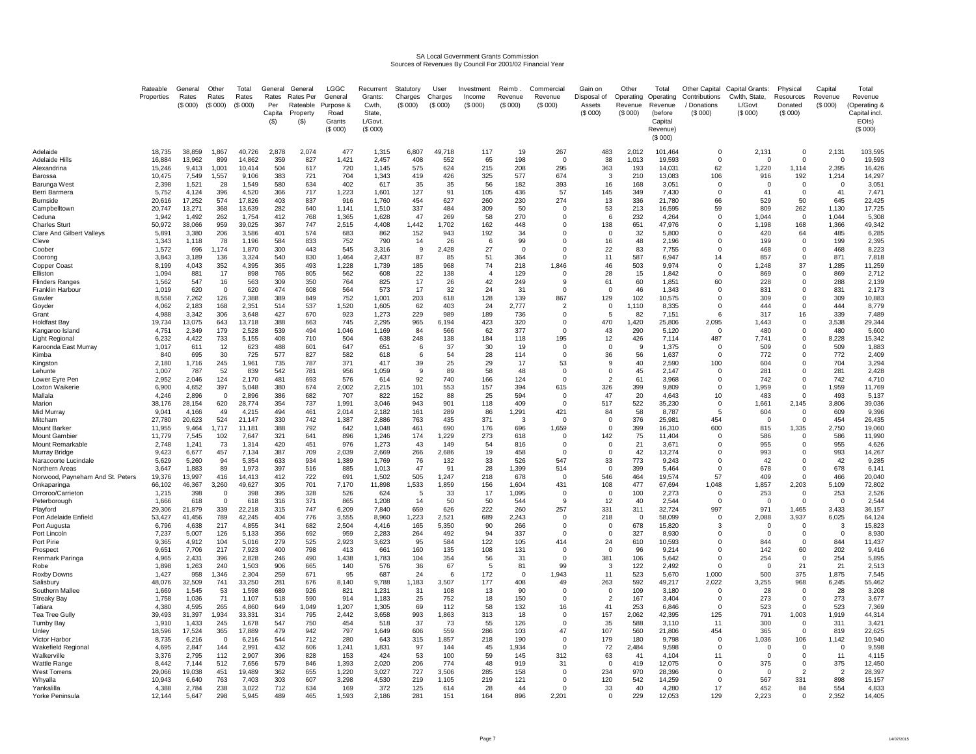# SA Local Government Grants Commission Sources of Revenues By Council For 2001/02 Financial Year

|                                                 | Rateable<br>Properties | General<br>Rates<br>(\$000) | Other<br>Rates<br>(\$000) | Total<br>Rates<br>(\$000) | General<br>Rates<br>Per<br>Capita<br>(S) | General<br>Rates Per<br>Rateable<br>Property<br>$($ \$) | <b>LGGC</b><br>General<br>Purpose &<br>Road<br>Grants<br>(\$000) | Recurrent<br>Grants:<br>Cwth,<br>State<br>L/Govt.<br>(\$000) | Statutory<br>Charges<br>(S 000) | User<br>Charges<br>(\$000) | Investment<br>Income<br>(\$000) | Reimb<br>Revenue<br>(\$000) | Commercial<br>Revenue<br>(\$000) | Gain on<br>Disposal of<br>Assets<br>(S 000) | Other<br>Operating<br>Revenue<br>(\$000) | Total<br>Operating<br>Revenue<br>(before<br>Capital<br>Revenue)<br>(\$000) | Other Capital<br>Contributions<br>/ Donations<br>(S 000) | Capital Grants:<br>Cwlth, State,<br>L/Govt<br>(\$000) | Physical<br>Resources<br>Donated<br>(\$000) | Capital<br>Revenue<br>(S 000) | Total<br>Revenue<br>(Operating 8<br>Capital incl.<br>EOIs)<br>(\$000) |
|-------------------------------------------------|------------------------|-----------------------------|---------------------------|---------------------------|------------------------------------------|---------------------------------------------------------|------------------------------------------------------------------|--------------------------------------------------------------|---------------------------------|----------------------------|---------------------------------|-----------------------------|----------------------------------|---------------------------------------------|------------------------------------------|----------------------------------------------------------------------------|----------------------------------------------------------|-------------------------------------------------------|---------------------------------------------|-------------------------------|-----------------------------------------------------------------------|
| Adelaide<br>Adelaide Hills                      | 18,735<br>16.884       | 38,859<br>13.962            | 1,867<br>899              | 40,726<br>14.862          | 2,878<br>359                             | 2,074<br>827                                            | 477<br>1.421                                                     | 1,315<br>2.457                                               | 6,807<br>408                    | 49,718<br>552              | 117<br>65                       | 19<br>198                   | 267<br>$\Omega$                  | 483<br>38                                   | 2,012<br>1.013                           | 101,464<br>19.593                                                          | $\mathbf 0$<br>$\mathbf 0$                               | 2,131<br>$\Omega$                                     | $\Omega$<br>$\Omega$                        | 2,131<br>$\overline{0}$       | 103,595<br>19.593                                                     |
| Alexandrina                                     | 15,246                 | 9,413                       | 1,001                     | 10,414                    | 504                                      | 617                                                     | 720                                                              | 1,145                                                        | 575                             | 624                        | 215                             | 208                         | 295                              | 363                                         | 193                                      | 14,031                                                                     | 62                                                       | 1,220                                                 | 1,114                                       | 2,395                         | 16,426                                                                |
| Barossa                                         | 10,475                 | 7,549                       | 1,557                     | 9,106                     | 383                                      | 721                                                     | 704                                                              | 1,343                                                        | 419                             | 426                        | 325                             | 577                         | 674                              | 3                                           | 210                                      | 13,083                                                                     | 106                                                      | 916                                                   | 192                                         | 1,214                         | 14,297                                                                |
| Barunga West                                    | 2,398                  | 1,521                       | 28                        | 1,549                     | 580                                      | 634                                                     | 402                                                              | 617                                                          | 35                              | 35                         | 56                              | 182                         | 393                              | 16                                          | 168                                      | 3,051                                                                      | 0                                                        | $\mathbf 0$                                           | 0                                           | $\mathbf{0}$                  | 3,051                                                                 |
| Berri Barmera                                   | 5,752                  | 4,124                       | 396                       | 4,520                     | 366                                      | 717                                                     | 1,223                                                            | 1,601                                                        | 127                             | 91                         | 105                             | 436                         | 57                               | 145                                         | 349                                      | 7,430                                                                      | $\Omega$                                                 | 41                                                    | $\Omega$                                    | 41                            | 7,471                                                                 |
| Burnside                                        | 20,616                 | 17,252                      | 574                       | 17,826                    | 403                                      | 837                                                     | 916                                                              | 1,760                                                        | 454                             | 627                        | 260                             | 230                         | 274                              | 13                                          | 336                                      | 21,780                                                                     | 66                                                       | 529                                                   | 50                                          | 645                           | 22,425                                                                |
| Campbelltowr<br>Ceduna                          | 20,747<br>1,942        | 13,271<br>1,492             | 368<br>262                | 13,639<br>1,754           | 282<br>412                               | 640<br>768                                              | 1,141<br>1,365                                                   | 1,510<br>1,628                                               | 337<br>47                       | 484<br>269                 | 309<br>58                       | 50<br>270                   | 0<br>0                           | 53<br>6                                     | 213<br>232                               | 16,595<br>4,264                                                            | 59<br>$\overline{0}$                                     | 809<br>1,044                                          | 262<br>$^{\circ}$                           | 1,130<br>1,044                | 17,725<br>5,308                                                       |
| <b>Charles Sturt</b>                            | 50,972                 | 38,066                      | 959                       | 39,025                    | 367                                      | 747                                                     | 2,515                                                            | 4,408                                                        | 1,442                           | 1,702                      | 162                             | 448                         | $\Omega$                         | 138                                         | 651                                      | 47,976                                                                     | $\Omega$                                                 | 1,198                                                 | 168                                         | 1,366                         | 49,342                                                                |
| <b>Clare And Gilbert Valleys</b>                | 5,891                  | 3,380                       | 206                       | 3,586                     | 401                                      | 574                                                     | 683                                                              | 862                                                          | 152                             | 943                        | 192                             | 34                          | 0                                | $\mathbf 0$                                 | 32                                       | 5,800                                                                      | $\Omega$                                                 | 420                                                   | 64                                          | 485                           | 6,285                                                                 |
| Cleve                                           | 1,343                  | 1,118                       | 78                        | 1,196                     | 584                                      | 833                                                     | 752                                                              | 790                                                          | 14                              | 26                         | 6                               | 99                          | 0                                | 16                                          | 48                                       | 2,196                                                                      | $\overline{0}$                                           | 199                                                   | 0                                           | 199                           | 2,395                                                                 |
| Coober                                          | 1,572                  | 696                         | 1,174                     | 1,870                     | 300                                      | 443                                                     | 545                                                              | 3,316                                                        | -9                              | 2,428                      | 27                              | $^{\circ}$                  | 0                                | 22                                          | 83                                       | 7,755                                                                      | $\Omega$                                                 | 468                                                   | 0                                           | 468                           | 8,223                                                                 |
| Coorong<br>Copper Coast                         | 3,843<br>8,199         | 3,189<br>4,043              | 136<br>352                | 3,324<br>4,395            | 540<br>365                               | 830<br>493                                              | 1,464<br>1,228                                                   | 2,437<br>1,739                                               | 87<br>185                       | 85<br>968                  | 51<br>74                        | 364<br>218                  | $\Omega$<br>1,846                | 11<br>46                                    | 587<br>503                               | 6,947<br>9,974                                                             | 14<br>$\Omega$                                           | 857<br>1,248                                          | 0<br>37                                     | 871<br>1,285                  | 7,818<br>11,259                                                       |
| Elliston                                        | 1,094                  | 881                         | 17                        | 898                       | 765                                      | 805                                                     | 562                                                              | 608                                                          | 22                              | 138                        | $\overline{A}$                  | 129                         | $\Omega$                         | 28                                          | 15                                       | 1,842                                                                      | $\Omega$                                                 | 869                                                   | 0                                           | 869                           | 2,712                                                                 |
| <b>Flinders Ranges</b>                          | 1,562                  | 547                         | 16                        | 563                       | 309                                      | 350                                                     | 764                                                              | 825                                                          | 17                              | 26                         | 42                              | 249                         | 9                                | 61                                          | 60                                       | 1,851                                                                      | 60                                                       | 228                                                   | 0                                           | 288                           | 2,139                                                                 |
| Franklin Harbour                                | 1,019                  | 620                         | $\Omega$                  | 620                       | 474                                      | 608                                                     | 564                                                              | 573                                                          | 17                              | 32                         | 24                              | 31                          | $\Omega$                         | $\Omega$                                    | 46                                       | 1,343                                                                      | $\Omega$                                                 | 831                                                   | 0                                           | 831                           | 2,173                                                                 |
| Gawler                                          | 8,558                  | 7,262                       | 126                       | 7,388                     | 389                                      | 849                                                     | 752                                                              | 1,001                                                        | 203                             | 618                        | 128                             | 139                         | 867                              | 129                                         | 102                                      | 10,575                                                                     | 0                                                        | 309                                                   | 0                                           | 309                           | 10,883                                                                |
| Govder                                          | 4,062                  | 2.183                       | 168                       | 2.351                     | 514                                      | 537                                                     | 1,520                                                            | 1.605                                                        | 62                              | 403                        | 24                              | 2.777                       | $\overline{2}$                   | $\Omega$                                    | 1.110                                    | 8.335                                                                      | $\Omega$                                                 | 444                                                   | $\Omega$                                    | 444                           | 8,779                                                                 |
| Grant<br>Holdfast Bay                           | 4.988<br>19,734        | 3.342<br>13.075             | 306<br>643                | 3.648<br>13.718           | 427<br>388                               | 670<br>663                                              | 923<br>745                                                       | 1,273<br>2,295                                               | 229<br>965                      | 989<br>6,194               | 189<br>423                      | 736<br>320                  | $\Omega$<br>$\Omega$             | -5<br>470                                   | 82<br>1,420                              | 7,151<br>25,806                                                            | -6<br>2,095                                              | 317<br>1,443                                          | 16<br>0                                     | 339<br>3,538                  | 7,489<br>29,344                                                       |
| Kangaroo Island                                 | 4,751                  | 2,349                       | 179                       | 2,528                     | 539                                      | 494                                                     | 1,046                                                            | 1,169                                                        | 84                              | 566                        | 62                              | 377                         | $\Omega$                         | 43                                          | 290                                      | 5,120                                                                      | $\Omega$                                                 | 480                                                   | $\mathbf 0$                                 | 480                           | 5,600                                                                 |
| <b>Light Regional</b>                           | 6,232                  | 4,422                       | 733                       | 5,155                     | 408                                      | 710                                                     | 504                                                              | 638                                                          | 248                             | 138                        | 184                             | 118                         | 195                              | 12                                          | 426                                      | 7,114                                                                      | 487                                                      | 7,741                                                 | $\Omega$                                    | 8,228                         | 15,342                                                                |
| Karoonda East Murray                            | 1,017                  | 611                         | 12                        | 623                       | 488                                      | 601                                                     | 647                                                              | 651                                                          | 6                               | 37                         | 30                              | 19                          | $\Omega$                         | $\Omega$                                    | -9                                       | 1,375                                                                      | $\Omega$                                                 | 509                                                   | 0                                           | 509                           | 1,883                                                                 |
| Kimba                                           | 840                    | 695                         | 30                        | 725                       | 577                                      | 827                                                     | 582                                                              | 618                                                          | 6                               | 54                         | 28                              | 114                         | $\Omega$                         | 36                                          | 56                                       | 1,637                                                                      |                                                          | 772                                                   | 0                                           | 772                           | 2,409                                                                 |
| Kingston                                        | 2,180                  | 1,716                       | 245                       | 1,961                     | 735                                      | 787                                                     | 371                                                              | 417                                                          | 39                              | 25                         | 29                              | 17                          | 53                               | 9<br>$\mathbf 0$                            | 40                                       | 2,590                                                                      | 100                                                      | 604                                                   | 0                                           | 704                           | 3,294                                                                 |
| Lehunte<br>Lower Eyre Pen                       | 1,007<br>2.952         | 787<br>2.046                | 52<br>124                 | 839<br>2,170              | 542<br>481                               | 781<br>693                                              | 956<br>576                                                       | 1,059<br>614                                                 | -9<br>92                        | 89<br>740                  | 58<br>166                       | 48<br>124                   | $\mathbf 0$<br>$\Omega$          | 2                                           | 45<br>61                                 | 2,147<br>3.968                                                             | $\mathbf 0$<br>$\Omega$                                  | 281<br>742                                            | $\mathbf 0$<br>$\mathbf 0$                  | 281<br>742                    | 2,428<br>4,710                                                        |
| Loxton Waikerie                                 | 6,900                  | 4,652                       | 397                       | 5,048                     | 380                                      | 674                                                     | 2,002                                                            | 2,215                                                        | 101                             | 553                        | 157                             | 394                         | 615                              | 326                                         | 399                                      | 9,809                                                                      | $\Omega$                                                 | 1,959                                                 | 0                                           | 1,959                         | 11,769                                                                |
| Mallala                                         | 4,246                  | 2,896                       | $\overline{0}$            | 2,896                     | 386                                      | 682                                                     | 707                                                              | 822                                                          | 152                             | 88                         | 25                              | 594                         | 0                                | 47                                          | 20                                       | 4,643                                                                      | 10                                                       | 483                                                   | 0                                           | 493                           | 5,137                                                                 |
| Marion                                          | 38,176                 | 28,154                      | 620                       | 28,774                    | 354                                      | 737                                                     | 1,991                                                            | 3,046                                                        | 943                             | 901                        | 118                             | 409                         | 0                                | 517                                         | 522                                      | 35,230                                                                     | $\overline{0}$                                           | 1,661                                                 | 2,145                                       | 3,806                         | 39,036                                                                |
| Mid Murray                                      | 9,041                  | 4,166                       | 49                        | 4,215                     | 494                                      | 461                                                     | 2,014                                                            | 2,182                                                        | 161                             | 289                        | 86                              | 1,291                       | 421                              | 84                                          | 58                                       | 8,787                                                                      | 5                                                        | 604                                                   | $\mathbf 0$                                 | 609                           | 9,396                                                                 |
| Mitcham<br>Mount Barkeı                         | 27,780<br>11,955       | 20,623<br>9,464             | 524<br>1,717              | 21,147<br>11,181          | 330<br>388                               | 742<br>792                                              | 1,387<br>642                                                     | 2,886<br>1,048                                               | 763<br>461                      | 435<br>690                 | 371<br>176                      | $\mathbf{3}$<br>696         | $\Omega$<br>1,659                | $\mathbf 0$<br>$\Omega$                     | 376<br>399                               | 25,981<br>16,310                                                           | 454<br>600                                               | $\Omega$<br>815                                       | $\Omega$<br>1,335                           | 454<br>2,750                  | 26,435<br>19,060                                                      |
| Mount Gambier                                   | 11,779                 | 7,545                       | 102                       | 7,647                     | 321                                      | 641                                                     | 896                                                              | 1,246                                                        | 174                             | 1,229                      | 273                             | 618                         | 0                                | 142                                         | 75                                       | 11,404                                                                     | $\Omega$                                                 | 586                                                   | 0                                           | 586                           | 11,990                                                                |
| Mount Remarkable                                | 2,748                  | 1,241                       | 73                        | 1,314                     | 420                                      | 451                                                     | 976                                                              | 1,273                                                        | 43                              | 149                        | 54                              | 816                         | 0                                | $\mathbf 0$                                 | 21                                       | 3,671                                                                      | $\Omega$                                                 | 955                                                   | 0                                           | 955                           | 4,626                                                                 |
| Murrav Bridge                                   | 9,423                  | 6,677                       | 457                       | 7,134                     | 387                                      | 709                                                     | 2,039                                                            | 2,669                                                        | 266                             | 2,686                      | 19                              | 458                         | $\Omega$                         | $\mathbf 0$                                 | 42                                       | 13,274                                                                     | $\Omega$                                                 | 993                                                   | $\Omega$                                    | 993                           | 14,267                                                                |
| Naracoorte Lucindale                            | 5,629                  | 5,260                       | 94                        | 5,354                     | 633                                      | 934                                                     | 1,389                                                            | 1,769                                                        | 76                              | 132                        | 33                              | 526                         | 547                              | 33                                          | 773                                      | 9.243                                                                      | $\Omega$                                                 | 42                                                    | $\Omega$                                    | 42                            | 9,285                                                                 |
| Northern Areas                                  | 3,647<br>19,376        | 1.883<br>13,997             | 89<br>416                 | 1.973                     | 397<br>412                               | 516<br>722                                              | 885<br>691                                                       | 1,013<br>1,502                                               | 47<br>505                       | 91<br>1,247                | 28                              | 1,399<br>678                | 514<br>$\Omega$                  | $\Omega$<br>546                             | 399<br>464                               | 5.464<br>19,574                                                            | $\Omega$<br>57                                           | 678<br>409                                            | $\Omega$<br>$\Omega$                        | 678<br>466                    | 6,141<br>20,040                                                       |
| Norwood, Payneham And St. Peters<br>Onkaparinga | 66,102                 | 46,367                      | 3,260                     | 14,413<br>49,627          | 305                                      | 701                                                     | 7,170                                                            | 11,898                                                       | 1,533                           | 1,859                      | 218<br>156                      | 1,604                       | 431                              | 108                                         | 477                                      | 67,694                                                                     | 1,048                                                    | 1,857                                                 | 2,203                                       | 5,109                         | 72,802                                                                |
| Orroroo/Carrieton                               | 1,215                  | 398                         | $\overline{0}$            | 398                       | 395                                      | 328                                                     | 526                                                              | 624                                                          | 5                               | 33                         | 17                              | 1.095                       | $\Omega$                         | $\mathbf 0$                                 | 100                                      | 2.273                                                                      | $\Omega$                                                 | 253                                                   | $\Omega$                                    | 253                           | 2,526                                                                 |
| Peterborough                                    | 1.666                  | 618                         | $\Omega$                  | 618                       | 316                                      | 371                                                     | 865                                                              | 1.208                                                        | 14                              | 50                         | 50                              | 544                         | 9                                | 12                                          | 40                                       | 2.544                                                                      | $\Omega$                                                 | $\Omega$                                              | $\mathbf 0$                                 | $\Omega$                      | 2,544                                                                 |
| Plavford                                        | 29,306                 | 21,879                      | 339                       | 22,218                    | 315                                      | 747                                                     | 6,209                                                            | 7,840                                                        | 659                             | 626                        | 222                             | 260                         | 257                              | 331                                         | 311                                      | 32,724                                                                     | 997                                                      | 971                                                   | 1,465                                       | 3,433                         | 36,157                                                                |
| Port Adelaide Enfield                           | 53,427                 | 41,456                      | 789                       | 42,245                    | 404                                      | 776                                                     | 3,555                                                            | 8,960                                                        | 1,223                           | 2,521                      | 689                             | 2,243                       | $\mathbf 0$                      | 218                                         | $\mathbf 0$                              | 58,099                                                                     | $\Omega$<br>$\mathcal{R}$                                | 2,088                                                 | 3,937                                       | 6,025                         | 64,124                                                                |
| Port Augusta<br>Port Lincoln                    | 6.796<br>7,237         | 4.638<br>5,007              | 217<br>126                | 4.855<br>5,133            | 341<br>356                               | 682<br>692                                              | 2.504<br>959                                                     | 4.416<br>2,283                                               | 165<br>264                      | 5.350<br>492               | 90<br>94                        | 266<br>337                  | $\mathbf 0$<br>$\Omega$          | $\mathbf 0$<br>$\Omega$                     | 678<br>327                               | 15.820<br>8,930                                                            | $\Omega$                                                 | $\Omega$<br>$\Omega$                                  | $\Omega$<br>$\Omega$                        | -3<br>$\Omega$                | 15.823<br>8,930                                                       |
| Port Pirie                                      | 9,365                  | 4,912                       | 104                       | 5,016                     | 279                                      | 525                                                     | 2,923                                                            | 3,623                                                        | 95                              | 584                        | 122                             | 105                         | 414                              | 24                                          | 610                                      | 10,593                                                                     | $\Omega$                                                 | 844                                                   | $\Omega$                                    | 844                           | 11,437                                                                |
| Prospect                                        | 9,651                  | 7,706                       | 217                       | 7,923                     | 400                                      | 798                                                     | 413                                                              | 661                                                          | 160                             | 135                        | 108                             | 131                         | 0                                | $\mathbf 0$                                 | 96                                       | 9,214                                                                      | $^{\circ}$                                               | 142                                                   | 60                                          | 202                           | 9,416                                                                 |
| Renmark Paringa                                 | 4,965                  | 2,431                       | 396                       | 2,828                     | 246                                      | 490                                                     | 1,438                                                            | 1,783                                                        | 104                             | 354                        | 56                              | 31                          | $\Omega$                         | 381                                         | 106                                      | 5,642                                                                      | $\Omega$                                                 | 254                                                   | $\Omega$                                    | 254                           | 5,895                                                                 |
| Robe                                            | 1,898                  | 1,263                       | 240                       | 1,503                     | 906                                      | 665                                                     | 140                                                              | 576                                                          | 36                              | 67                         | 5                               | 81                          | 99                               | 3                                           | 122                                      | 2,492                                                                      |                                                          | $\Omega$                                              | 21                                          | 21                            | 2,513                                                                 |
| Roxby Downs                                     | 1,427                  | 958                         | 1,346                     | 2,304                     | 259                                      | 671                                                     | 95                                                               | 687                                                          | 24                              | 6                          | 172                             | 0                           | 1,943                            | 11                                          | 523                                      | 5,670                                                                      | 1,000                                                    | 500                                                   | 375                                         | 1,875                         | 7,545                                                                 |
| Salisbur∖<br>Southern Mallee                    | 48,076<br>1,669        | 32,509<br>1,545             | 741<br>53                 | 33,250<br>1,598           | 281<br>689                               | 676<br>926                                              | 8,140<br>821                                                     | 9,788<br>1,231                                               | 1,183<br>31                     | 3,507<br>108               | 177<br>13                       | 408<br>90                   | 49<br>0                          | 263<br>$\mathbf 0$                          | 592<br>109                               | 49,217<br>3,180                                                            | 2,022<br>0                                               | 3,255<br>28                                           | 968<br>0                                    | 6,245<br>28                   | 55,462<br>3,208                                                       |
| Streaky Bay                                     | 1,758                  | 1,036                       | 71                        | 1,107                     | 518                                      | 590                                                     | 914                                                              | 1,183                                                        | 25                              | 752                        | 18                              | 150                         | $\Omega$                         | $\overline{2}$                              | 167                                      | 3,404                                                                      | $\Omega$                                                 | 273                                                   | 0                                           | 273                           | 3,677                                                                 |
| Tatiara                                         | 4,380                  | 4,595                       | 265                       | 4,860                     | 649                                      | 1,049                                                   | 1,207                                                            | 1,305                                                        | 69                              | 112                        | 58                              | 132                         | 16                               | 41                                          | 253                                      | 6,846                                                                      | $\Omega$                                                 | 523                                                   | 0                                           | 523                           | 7,369                                                                 |
| Tea Tree Gully                                  | 39,493                 | 31,397                      | 1,934                     | 33,331                    | 314                                      | 795                                                     | 2,442                                                            | 3,658                                                        | 993                             | 1,863                      | 313                             | 18                          | 0                                | 157                                         | 2,062                                    | 42,395                                                                     | 125                                                      | 791                                                   | 1,003                                       | 1,919                         | 44,314                                                                |
| Tumby Bay                                       | 1,910                  | 1,433                       | 245                       | 1,678                     | 547                                      | 750                                                     | 454                                                              | 518                                                          | 37                              | 73                         | 55                              | 126                         | $\Omega$                         | 35                                          | 588                                      | 3.110                                                                      | 11                                                       | 300                                                   | 0                                           | 311                           | 3,421                                                                 |
| Unley                                           | 18,596                 | 17,524                      | 365<br>$\Omega$           | 17,889                    | 479<br>544                               | 942<br>712                                              | 797<br>280                                                       | 1,649<br>643                                                 | 606                             | 559                        | 286                             | 103<br>190                  | 47<br>$\Omega$                   | 107<br>179                                  | 560<br>180                               | 21,806<br>9.798                                                            | 454<br>$\Omega$                                          | 365<br>1,036                                          | $\Omega$<br>106                             | 819                           | 22,625<br>10,940                                                      |
| Victor Harbor<br>Wakefield Regional             | 8,735<br>4,695         | 6,216<br>2,847              | 144                       | 6,216<br>2,991            | 432                                      | 606                                                     | 1,241                                                            | 1,831                                                        | 315<br>97                       | 1,857<br>144               | 218<br>45                       | 1,934                       | $\Omega$                         | 72                                          | 2,484                                    | 9,598                                                                      | $\Omega$                                                 | $\Omega$                                              | $\Omega$                                    | 1,142<br>$\Omega$             | 9,598                                                                 |
| Walkerville                                     | 3,376                  | 2,795                       | 112                       | 2,907                     | 396                                      | 828                                                     | 153                                                              | 424                                                          | 53                              | 100                        | 59                              | 145                         | 312                              | 63                                          | 41                                       | 4,104                                                                      | 11                                                       | $\Omega$                                              | $\Omega$                                    | 11                            | 4,115                                                                 |
| Wattle Range                                    | 8,442                  | 7,144                       | 512                       | 7,656                     | 579                                      | 846                                                     | 1,393                                                            | 2,020                                                        | 206                             | 774                        | 48                              | 919                         | 31                               | $\Omega$                                    | 419                                      | 12,075                                                                     | $\Omega$                                                 | 375                                                   | 0                                           | 375                           | 12,450                                                                |
| West Torrens                                    | 29.066                 | 19.038                      | 451                       | 19.489                    | 362                                      | 655                                                     | 1,220                                                            | 3.027                                                        | 727                             | 3.506                      | 285                             | 158                         | $\Omega$                         | 234                                         | 970                                      | 28.396                                                                     | $\Omega$                                                 | $\Omega$                                              | $\overline{2}$                              | $\overline{2}$                | 28,397                                                                |
| Whvalla                                         | 10.943                 | 6.640                       | 763                       | 7.403                     | 303                                      | 607                                                     | 3.298                                                            | 4,530                                                        | 219                             | 1,105                      | 219                             | 121                         | $\Omega$                         | 120                                         | 542                                      | 14.259                                                                     | $\Omega$                                                 | 567                                                   | 331                                         | 898                           | 15,157                                                                |
| Yankalilla<br>Yorke Peninsula                   | 4.388<br>12,144        | 2.784<br>5,647              | 238<br>298                | 3.022<br>5,945            | 712<br>489                               | 634<br>465                                              | 169<br>1,593                                                     | 372<br>2,186                                                 | 125<br>281                      | 614<br>151                 | 28<br>164                       | 44<br>896                   | $\Omega$<br>2,201                | 33<br>$\Omega$                              | 40<br>229                                | 4.280<br>12,053                                                            | 17<br>129                                                | 452<br>2,223                                          | 84<br>$\Omega$                              | 554<br>2,352                  | 4,833<br>14,405                                                       |
|                                                 |                        |                             |                           |                           |                                          |                                                         |                                                                  |                                                              |                                 |                            |                                 |                             |                                  |                                             |                                          |                                                                            |                                                          |                                                       |                                             |                               |                                                                       |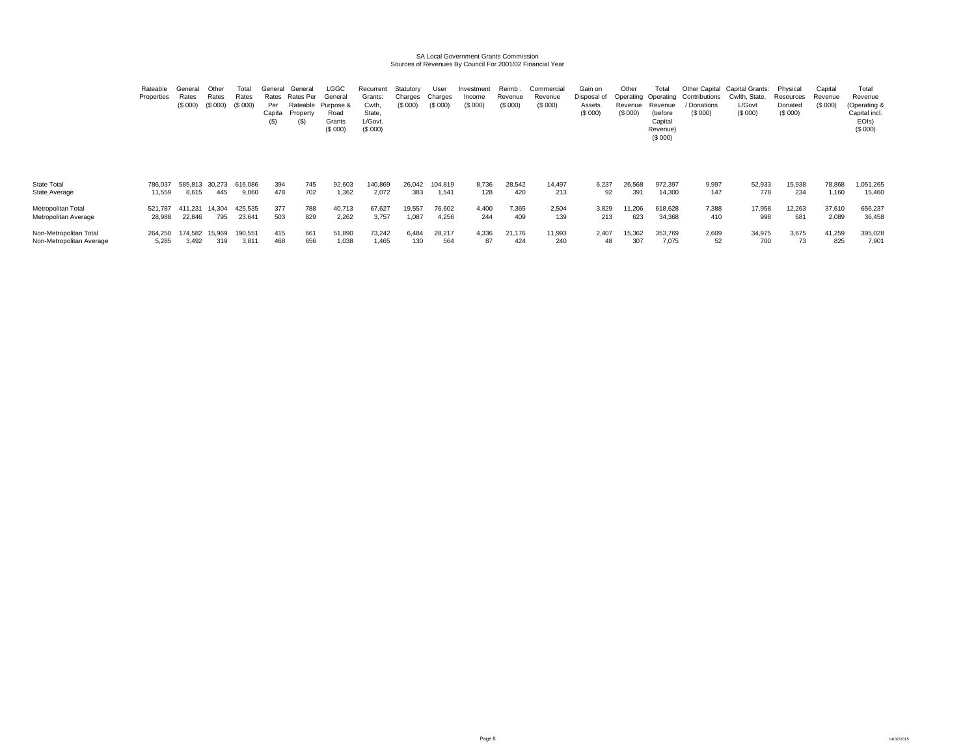# SA Local Government Grants Commission Sources of Revenues By Council For 2001/02 Financial Year

|                          | Rateable<br>Properties | Rates<br>(S 000) | Other<br>Rates<br>(S 000) | Total<br>Rates<br>(S 000) | General<br>Rates<br>Per<br>Capita<br>(S) | General<br>Rates Per<br>Rateable<br>Property<br>(S) | LGGC<br>General<br>Purpose &<br>Road<br>Grants<br>(\$000) | Recurrent<br>Grants:<br>Cwth,<br>State,<br>L/Govt.<br>(S 000) | Statutory<br>Charges<br>(\$ 000) | User<br>Charges<br>(S 000) | Investmen<br>Income<br>(S 000) | Reimb<br>Revenue<br>(\$000) | Commercial<br>Revenue<br>(\$000) | Gain on<br>Disposal of<br>Assets<br>(\$000) | Other<br>Operating<br>Revenue<br>(\$000) | otal<br>Operating<br>Revenue<br>(before<br>Capital<br>Revenue)<br>(\$000) | Other Capital<br>Contributions<br><sup>'</sup> Donations<br>(S 000) | Capital Grants:<br>Cwlth.<br>. State<br>L/Govt<br>(\$000) | Physical<br>Resources<br>Donated<br>(\$000) | Capital<br>Revenue<br>(S 000) | Total<br>Revenue<br>(Operating &<br>Capital incl.<br>EOIs)<br>(\$000) |
|--------------------------|------------------------|------------------|---------------------------|---------------------------|------------------------------------------|-----------------------------------------------------|-----------------------------------------------------------|---------------------------------------------------------------|----------------------------------|----------------------------|--------------------------------|-----------------------------|----------------------------------|---------------------------------------------|------------------------------------------|---------------------------------------------------------------------------|---------------------------------------------------------------------|-----------------------------------------------------------|---------------------------------------------|-------------------------------|-----------------------------------------------------------------------|
| State Total              | 786,037                | 585.813          | 30.273                    | 616,086                   | 394                                      | 745                                                 | 92,603                                                    | 140,869                                                       | 26,042                           | 104,819                    | 8.736                          | 28,542                      | 14,497                           | 6.237                                       | 26,568                                   | 972,397                                                                   | 9,997                                                               | 52,933                                                    | 15,938                                      | 78,868                        | 051,265                                                               |
| State Average            | 11,559                 | 8,615            | 445                       | 9,060                     | 478                                      | 702                                                 | 1,362                                                     | 2,072                                                         | 383                              | 1,541                      | 128                            | 420                         | 213                              | 92                                          | 391                                      | 14,300                                                                    | 147                                                                 | 778                                                       | 234                                         | 1,160                         | 15,460                                                                |
| Metropolitan Total       | 521,787                | 411,231          | 14,304                    | 425,535                   | 377                                      | 788                                                 | 40,713                                                    | 67,627                                                        | 19,557                           | 76,602                     | 4,400                          | 7,365                       | 2,504                            | 3,829                                       | 11,206                                   | 618,628                                                                   | 7,388                                                               | 17,958                                                    | 12,263                                      | 37,610                        | 656,237                                                               |
| Metropolitan Average     | 28,988                 | 22,846           | 795                       | 23,641                    | 503                                      | 829                                                 | 2,262                                                     | 3,757                                                         | 1,087                            | 4,256                      | 244                            | 409                         | 139                              | 213                                         | 623                                      | 34,368                                                                    | 410                                                                 | 998                                                       | 681                                         | 2,089                         | 36,458                                                                |
| Non-Metropolitan Total   | 264,250                | 174.582          | 15,969                    | 190,551                   | 415                                      | 661                                                 | 51,890                                                    | 73,242                                                        | 6,484                            | 28,217                     | 4,336                          | 21,176                      | 11,993                           | 2,407                                       | 15,362                                   | 353,769                                                                   | 2,609                                                               | 34,975                                                    | 3,675                                       | 41,259                        | 395,028                                                               |
| Non-Metropolitan Average | 5,285                  | 3,492            | 319                       | 3,81                      | 468                                      | 656                                                 | 1,038                                                     | 1,465                                                         | 130                              | 564                        | 87                             | 424                         | 240                              | 48                                          | 307                                      | 7,075                                                                     | 52                                                                  | 700                                                       | 73                                          | 825                           | 7,901                                                                 |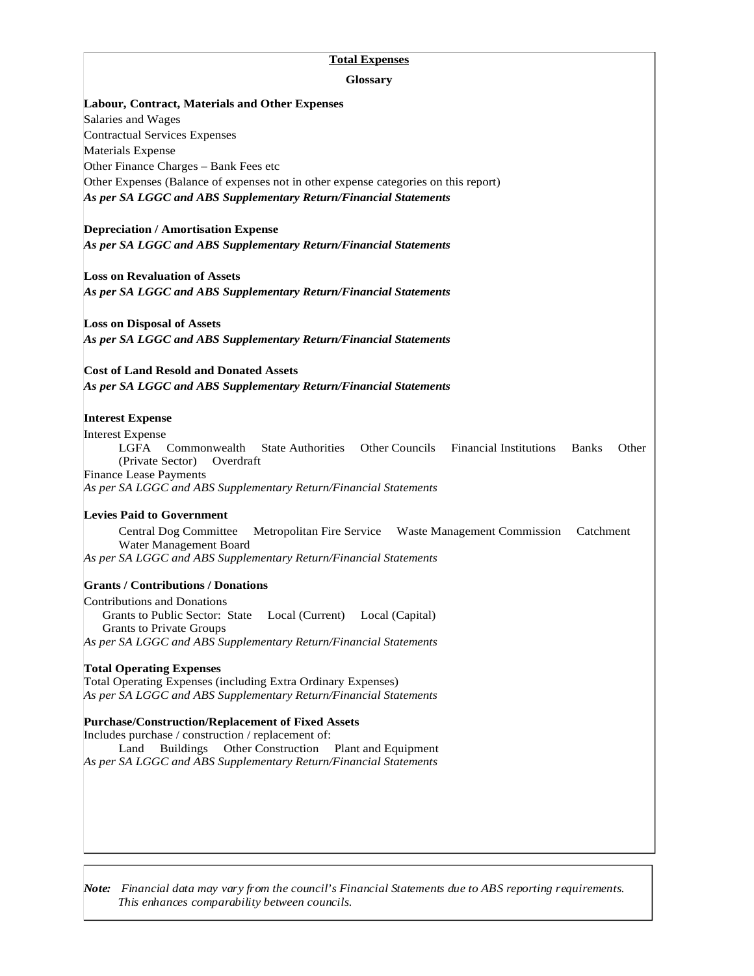## **Total Expenses**

| Glossary                                                                                                                                                                                      |
|-----------------------------------------------------------------------------------------------------------------------------------------------------------------------------------------------|
| <b>Labour, Contract, Materials and Other Expenses</b>                                                                                                                                         |
| Salaries and Wages                                                                                                                                                                            |
| <b>Contractual Services Expenses</b>                                                                                                                                                          |
| <b>Materials Expense</b>                                                                                                                                                                      |
| Other Finance Charges - Bank Fees etc                                                                                                                                                         |
| Other Expenses (Balance of expenses not in other expense categories on this report)<br>As per SA LGGC and ABS Supplementary Return/Financial Statements                                       |
| <b>Depreciation / Amortisation Expense</b>                                                                                                                                                    |
| As per SA LGGC and ABS Supplementary Return/Financial Statements                                                                                                                              |
| <b>Loss on Revaluation of Assets</b>                                                                                                                                                          |
| As per SA LGGC and ABS Supplementary Return/Financial Statements                                                                                                                              |
| <b>Loss on Disposal of Assets</b><br>As per SA LGGC and ABS Supplementary Return/Financial Statements                                                                                         |
|                                                                                                                                                                                               |
| <b>Cost of Land Resold and Donated Assets</b><br>As per SA LGGC and ABS Supplementary Return/Financial Statements                                                                             |
| <b>Interest Expense</b>                                                                                                                                                                       |
| <b>Interest Expense</b><br>LGFA Commonwealth<br><b>State Authorities</b><br>Other Councils Financial Institutions<br>Other<br><b>Banks</b><br>(Private Sector)<br>Overdraft                   |
| <b>Finance Lease Payments</b><br>As per SA LGGC and ABS Supplementary Return/Financial Statements                                                                                             |
| <b>Levies Paid to Government</b>                                                                                                                                                              |
| <b>Central Dog Committee</b><br>Metropolitan Fire Service Waste Management Commission Catchment<br>Water Management Board<br>As per SA LGGC and ABS Supplementary Return/Financial Statements |
| <b>Grants / Contributions / Donations</b>                                                                                                                                                     |
| <b>Contributions and Donations</b>                                                                                                                                                            |
| Grants to Public Sector: State<br>Local (Current) Local (Capital)<br><b>Grants to Private Groups</b>                                                                                          |
| As per SA LGGC and ABS Supplementary Return/Financial Statements                                                                                                                              |
| <b>Total Operating Expenses</b>                                                                                                                                                               |
| Total Operating Expenses (including Extra Ordinary Expenses)<br>As per SA LGGC and ABS Supplementary Return/Financial Statements                                                              |
| <b>Purchase/Construction/Replacement of Fixed Assets</b>                                                                                                                                      |
| Includes purchase / construction / replacement of:                                                                                                                                            |
| Buildings Other Construction<br>Land<br>Plant and Equipment<br>As per SA LGGC and ABS Supplementary Return/Financial Statements                                                               |
|                                                                                                                                                                                               |
|                                                                                                                                                                                               |
|                                                                                                                                                                                               |
|                                                                                                                                                                                               |

*Note: Financial data may vary from the council's Financial Statements due to ABS reporting requirements. This enhances comparability between councils.*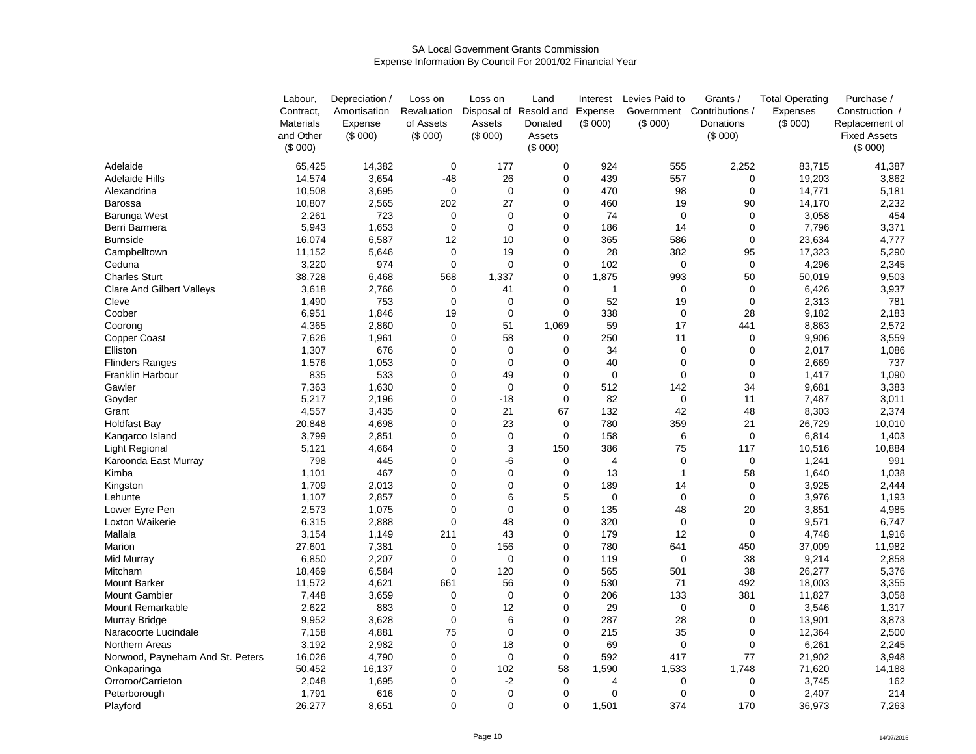### SA Local Government Grants CommissionExpense Information By Council For 2001/02 Financial Year

|                                  | Labour.          | Depreciation / | Loss on     | Loss on        | Land                   | Interest       | Levies Paid to | Grants /                   | <b>Total Operating</b> | Purchase /          |
|----------------------------------|------------------|----------------|-------------|----------------|------------------------|----------------|----------------|----------------------------|------------------------|---------------------|
|                                  | Contract,        | Amortisation   | Revaluation |                | Disposal of Resold and | Expense        |                | Government Contributions / | Expenses               | Construction /      |
|                                  | <b>Materials</b> | Expense        | of Assets   | Assets         | Donated                | (\$000)        | (\$000)        | Donations                  | (\$000)                | Replacement of      |
|                                  | and Other        | (\$000)        | (\$000)     | (\$000)        | Assets                 |                |                | (\$000)                    |                        | <b>Fixed Assets</b> |
|                                  | (S 000)          |                |             |                | (\$000)                |                |                |                            |                        | (\$000)             |
| Adelaide                         | 65,425           | 14,382         | $\mathbf 0$ | 177            | 0                      | 924            | 555            | 2,252                      | 83.715                 | 41,387              |
| <b>Adelaide Hills</b>            | 14,574           | 3,654          | $-48$       | 26             | 0                      | 439            | 557            | 0                          | 19,203                 | 3,862               |
| Alexandrina                      | 10,508           | 3,695          | $\mathbf 0$ | $\mathbf 0$    | 0                      | 470            | 98             | 0                          | 14,771                 | 5,181               |
| Barossa                          | 10,807           | 2,565          | 202         | 27             | 0                      | 460            | 19             | 90                         | 14,170                 | 2,232               |
| Barunga West                     | 2,261            | 723            | $\mathbf 0$ | $\mathbf 0$    | 0                      | 74             | $\mathbf 0$    | 0                          | 3,058                  | 454                 |
| Berri Barmera                    | 5,943            | 1,653          | $\mathbf 0$ | $\mathbf 0$    | 0                      | 186            | 14             | 0                          | 7,796                  | 3,371               |
| <b>Burnside</b>                  | 16,074           | 6,587          | 12          | 10             | 0                      | 365            | 586            | 0                          | 23,634                 | 4,777               |
| Campbelltown                     | 11,152           | 5,646          | $\mathbf 0$ | 19             | 0                      | 28             | 382            | 95                         | 17,323                 | 5,290               |
| Ceduna                           | 3,220            | 974            | $\mathbf 0$ | $\mathbf 0$    | 0                      | 102            | $\mathbf 0$    | $\mathbf 0$                | 4,296                  | 2,345               |
| <b>Charles Sturt</b>             | 38,728           | 6,468          | 568         | 1,337          | 0                      | 1,875          | 993            | 50                         | 50,019                 | 9,503               |
| <b>Clare And Gilbert Valleys</b> | 3,618            | 2,766          | $\mathbf 0$ | 41             | 0                      | $\overline{1}$ | 0              | 0                          | 6,426                  | 3,937               |
| Cleve                            | 1,490            | 753            | 0           | 0              | 0                      | 52             | 19             | 0                          | 2,313                  | 781                 |
| Coober                           | 6,951            | 1,846          | 19          | $\mathbf 0$    | 0                      | 338            | $\mathbf 0$    | 28                         | 9,182                  | 2,183               |
| Coorong                          | 4,365            | 2,860          | $\mathbf 0$ | 51             | 1,069                  | 59             | 17             | 441                        | 8,863                  | 2,572               |
|                                  |                  |                | $\mathbf 0$ | 58             | 0                      | 250            | 11             | $\mathbf 0$                |                        | 3,559               |
| <b>Copper Coast</b>              | 7,626            | 1,961          |             |                |                        |                |                |                            | 9,906                  |                     |
| Elliston                         | 1,307            | 676            | $\mathbf 0$ | $\mathbf 0$    | 0                      | 34             | 0              | 0                          | 2,017                  | 1,086               |
| <b>Flinders Ranges</b>           | 1,576            | 1,053          | 0           | $\mathbf 0$    | 0                      | 40             | 0              | 0                          | 2,669                  | 737                 |
| Franklin Harbour                 | 835              | 533            | 0           | 49             | 0                      | $\mathbf 0$    | 0              | 0                          | 1,417                  | 1,090               |
| Gawler                           | 7,363            | 1,630          | $\mathbf 0$ | $\Omega$       | 0                      | 512            | 142            | 34                         | 9,681                  | 3,383               |
| Goyder                           | 5,217            | 2,196          | 0           | $-18$          | 0                      | 82             | $\mathbf 0$    | 11                         | 7,487                  | 3,011               |
| Grant                            | 4,557            | 3,435          | $\mathbf 0$ | 21             | 67                     | 132            | 42             | 48                         | 8,303                  | 2,374               |
| <b>Holdfast Bay</b>              | 20,848           | 4,698          | 0           | 23             | 0                      | 780            | 359            | 21                         | 26,729                 | 10,010              |
| Kangaroo Island                  | 3,799            | 2,851          | 0           | $\mathbf 0$    | 0                      | 158            | 6              | 0                          | 6,814                  | 1,403               |
| Light Regional                   | 5,121            | 4,664          | 0           | 3              | 150                    | 386            | 75             | 117                        | 10,516                 | 10,884              |
| Karoonda East Murray             | 798              | 445            | $\mathbf 0$ | -6             | 0                      | 4              | 0              | 0                          | 1,241                  | 991                 |
| Kimba                            | 1,101            | 467            | $\mathbf 0$ | $\Omega$       | 0                      | 13             | 1              | 58                         | 1,640                  | 1,038               |
| Kingston                         | 1,709            | 2,013          | $\mathbf 0$ | $\mathbf{0}$   | 0                      | 189            | 14             | 0                          | 3,925                  | 2,444               |
| Lehunte                          | 1,107            | 2,857          | $\mathbf 0$ | 6              | 5                      | $\mathbf 0$    | $\mathbf 0$    | 0                          | 3,976                  | 1,193               |
| Lower Eyre Pen                   | 2,573            | 1,075          | $\mathbf 0$ | $\Omega$       | 0                      | 135            | 48             | 20                         | 3,851                  | 4,985               |
| Loxton Waikerie                  | 6,315            | 2,888          | $\Omega$    | 48             | $\overline{0}$         | 320            | $\Omega$       | 0                          | 9,571                  | 6,747               |
| Mallala                          | 3,154            | 1,149          | 211         | 43             | $\overline{0}$         | 179            | 12             | $\mathbf 0$                | 4,748                  | 1,916               |
| Marion                           | 27,601           | 7,381          | $\mathbf 0$ | 156            | 0                      | 780            | 641            | 450                        | 37,009                 | 11,982              |
| Mid Murray                       | 6,850            | 2,207          | $\mathbf 0$ | $\overline{0}$ | 0                      | 119            | $\mathbf 0$    | 38                         | 9,214                  | 2,858               |
| Mitcham                          | 18,469           | 6,584          | $\mathbf 0$ | 120            | 0                      | 565            | 501            | 38                         | 26,277                 | 5,376               |
| <b>Mount Barker</b>              | 11,572           | 4,621          | 661         | 56             | 0                      | 530            | 71             | 492                        | 18,003                 | 3,355               |
| <b>Mount Gambier</b>             | 7,448            | 3,659          | 0           | 0              | 0                      | 206            | 133            | 381                        | 11,827                 | 3,058               |
| Mount Remarkable                 | 2,622            | 883            | $\mathbf 0$ | 12             | 0                      | 29             | $\mathbf 0$    | 0                          | 3,546                  | 1,317               |
| Murray Bridge                    | 9,952            | 3,628          | $\mathbf 0$ | 6              | 0                      | 287            | 28             | 0                          | 13,901                 | 3,873               |
| Naracoorte Lucindale             | 7,158            | 4,881          | 75          | $\mathbf 0$    | 0                      | 215            | 35             | 0                          | 12,364                 | 2,500               |
| Northern Areas                   | 3,192            | 2,982          | $\mathbf 0$ | 18             | 0                      | 69             | 0              | 0                          | 6,261                  | 2,245               |
| Norwood, Payneham And St. Peters | 16,026           | 4,790          | 0           | 0              | 0                      | 592            | 417            | 77                         | 21,902                 | 3,948               |
| Onkaparinga                      | 50,452           | 16,137         | $\mathbf 0$ | 102            | 58                     | 1,590          | 1,533          | 1,748                      | 71,620                 | 14,188              |
| Orroroo/Carrieton                | 2,048            | 1,695          | $\mathbf 0$ | $-2$           | $\mathbf 0$            | 4              | 0              | 0                          | 3,745                  | 162                 |
| Peterborough                     | 1,791            | 616            | $\mathbf 0$ | $\mathbf 0$    | 0                      | 0              | $\Omega$       | 0                          | 2,407                  | 214                 |
| Playford                         | 26,277           | 8,651          | $\Omega$    | $\Omega$       | $\Omega$               | 1,501          | 374            | 170                        | 36,973                 | 7,263               |
|                                  |                  |                |             |                |                        |                |                |                            |                        |                     |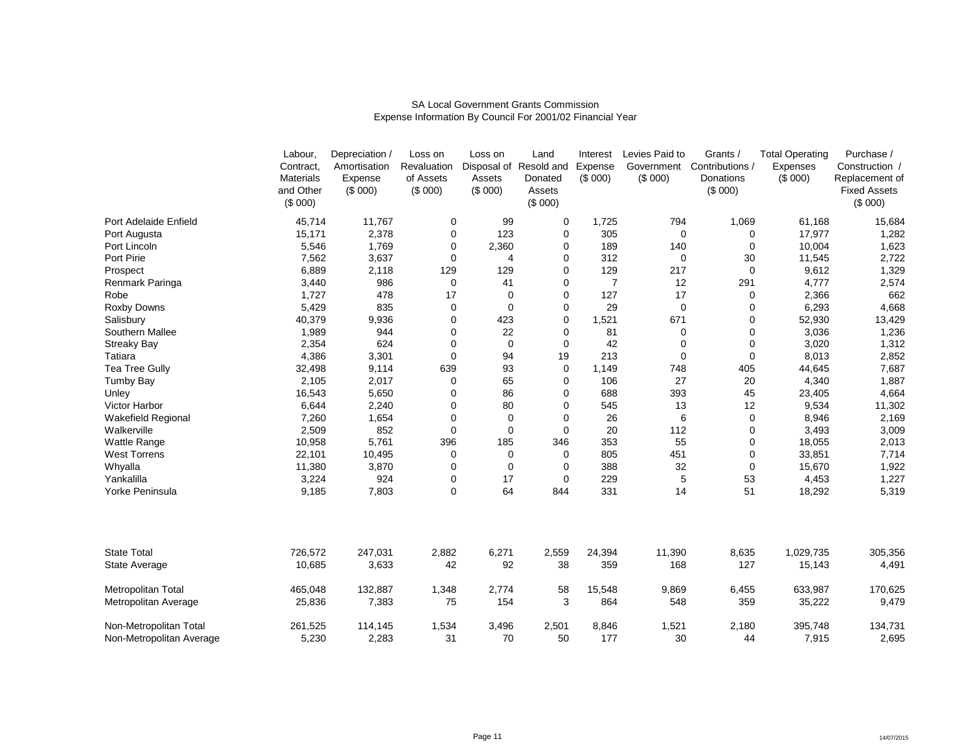|                                                    | Labour,<br>Contract,<br><b>Materials</b><br>and Other<br>(\$000) | Depreciation /<br>Amortisation<br>Expense<br>(\$000) | Loss on<br>Revaluation<br>of Assets<br>(\$000) | Loss on<br>Assets<br>(S 000) | Land<br>Disposal of Resold and<br>Donated<br>Assets<br>(S 000) | Interest<br>Expense<br>(\$000) | Levies Paid to<br>Government<br>(S 000) | Grants /<br>Contributions /<br>Donations<br>(S 000) | <b>Total Operating</b><br>Expenses<br>(S 000) | Purchase /<br>Construction /<br>Replacement of<br><b>Fixed Assets</b><br>(\$000) |
|----------------------------------------------------|------------------------------------------------------------------|------------------------------------------------------|------------------------------------------------|------------------------------|----------------------------------------------------------------|--------------------------------|-----------------------------------------|-----------------------------------------------------|-----------------------------------------------|----------------------------------------------------------------------------------|
| Port Adelaide Enfield                              | 45,714                                                           | 11,767                                               | 0                                              | 99                           | 0                                                              | 1,725                          | 794                                     | 1,069                                               | 61,168                                        | 15,684                                                                           |
| Port Augusta                                       | 15,171                                                           | 2,378                                                | 0                                              | 123                          | 0                                                              | 305                            | $\mathbf 0$                             | 0                                                   | 17,977                                        | 1,282                                                                            |
| Port Lincoln                                       | 5,546                                                            | 1,769                                                | 0                                              | 2,360                        | 0                                                              | 189                            | 140                                     | 0                                                   | 10,004                                        | 1,623                                                                            |
| Port Pirie                                         | 7,562                                                            | 3,637                                                | 0                                              | $\overline{4}$               | 0                                                              | 312                            | 0                                       | 30                                                  | 11,545                                        | 2,722                                                                            |
| Prospect                                           | 6,889                                                            | 2,118                                                | 129                                            | 129                          | 0                                                              | 129                            | 217                                     | 0                                                   | 9,612                                         | 1,329                                                                            |
| Renmark Paringa                                    | 3,440                                                            | 986                                                  | 0                                              | 41                           | 0                                                              | $\overline{7}$                 | 12                                      | 291                                                 | 4,777                                         | 2,574                                                                            |
| Robe                                               | 1,727                                                            | 478                                                  | 17                                             | $\overline{0}$               | 0                                                              | 127                            | 17                                      | 0                                                   | 2,366                                         | 662                                                                              |
| <b>Roxby Downs</b>                                 | 5,429                                                            | 835                                                  | 0                                              | $\mathbf 0$                  | 0                                                              | 29                             | $\mathbf 0$                             | 0                                                   | 6,293                                         | 4,668                                                                            |
| Salisbury                                          | 40,379                                                           | 9,936                                                | 0                                              | 423                          | 0                                                              | 1,521                          | 671                                     | 0                                                   | 52,930                                        | 13,429                                                                           |
| Southern Mallee                                    | 1,989                                                            | 944                                                  | 0                                              | 22                           | 0                                                              | 81                             | $\mathbf 0$                             | 0                                                   | 3,036                                         | 1,236                                                                            |
| <b>Streaky Bay</b>                                 | 2,354                                                            | 624                                                  | 0                                              | $\mathbf 0$                  | 0                                                              | 42                             | 0                                       | 0                                                   | 3,020                                         | 1,312                                                                            |
| Tatiara                                            | 4,386                                                            | 3,301                                                | 0                                              | 94                           | 19                                                             | 213                            | 0                                       | 0                                                   | 8,013                                         | 2,852                                                                            |
| Tea Tree Gully                                     | 32,498                                                           | 9,114                                                | 639                                            | 93                           | 0                                                              | 1,149                          | 748                                     | 405                                                 | 44,645                                        | 7,687                                                                            |
| <b>Tumby Bay</b>                                   | 2,105                                                            | 2,017                                                | 0                                              | 65                           | 0                                                              | 106                            | 27                                      | 20                                                  | 4,340                                         | 1,887                                                                            |
| Unley                                              | 16,543                                                           | 5,650                                                | 0                                              | 86                           | 0                                                              | 688                            | 393                                     | 45                                                  | 23,405                                        | 4,664                                                                            |
| Victor Harbor                                      | 6,644                                                            | 2,240                                                | 0                                              | 80                           | 0                                                              | 545                            | 13                                      | 12                                                  | 9,534                                         | 11,302                                                                           |
| <b>Wakefield Regional</b>                          | 7,260                                                            | 1,654                                                | 0                                              | $\mathbf 0$                  | 0                                                              | 26                             | 6                                       | 0                                                   | 8,946                                         | 2,169                                                                            |
| Walkerville                                        | 2,509                                                            | 852                                                  | 0                                              | $\mathbf 0$                  | 0                                                              | 20                             | 112                                     | 0                                                   | 3,493                                         | 3,009                                                                            |
| Wattle Range                                       | 10,958                                                           | 5,761                                                | 396                                            | 185                          | 346                                                            | 353                            | 55                                      | 0                                                   | 18,055                                        | 2,013                                                                            |
| <b>West Torrens</b>                                | 22,101                                                           | 10,495                                               | 0                                              | $\mathbf 0$                  | 0                                                              | 805                            | 451                                     | 0                                                   | 33,851                                        | 7,714                                                                            |
| Whyalla                                            | 11,380                                                           | 3,870                                                | 0                                              | $\Omega$                     | 0                                                              | 388                            | 32                                      | 0                                                   | 15,670                                        | 1,922                                                                            |
| Yankalilla                                         | 3,224                                                            | 924                                                  | 0                                              | 17                           | 0                                                              | 229                            | 5                                       | 53                                                  | 4,453                                         | 1,227                                                                            |
| Yorke Peninsula                                    | 9,185                                                            | 7,803                                                | 0                                              | 64                           | 844                                                            | 331                            | 14                                      | 51                                                  | 18,292                                        | 5,319                                                                            |
|                                                    |                                                                  |                                                      |                                                |                              |                                                                |                                |                                         |                                                     |                                               |                                                                                  |
| <b>State Total</b>                                 | 726,572                                                          | 247,031                                              | 2,882                                          | 6,271                        | 2,559                                                          | 24,394                         | 11,390                                  | 8,635                                               | 1,029,735                                     | 305,356                                                                          |
| State Average                                      | 10,685                                                           | 3,633                                                | 42                                             | 92                           | 38                                                             | 359                            | 168                                     | 127                                                 | 15,143                                        | 4,491                                                                            |
| Metropolitan Total                                 | 465,048                                                          | 132,887                                              | 1,348                                          | 2,774                        | 58                                                             | 15,548                         | 9,869                                   | 6,455                                               | 633,987                                       | 170,625                                                                          |
| Metropolitan Average                               | 25,836                                                           | 7,383                                                | 75                                             | 154                          | 3                                                              | 864                            | 548                                     | 359                                                 | 35,222                                        | 9,479                                                                            |
| Non-Metropolitan Total<br>Non-Metropolitan Average | 261,525<br>5,230                                                 | 114,145<br>2,283                                     | 1,534<br>31                                    | 3,496<br>70                  | 2,501<br>50                                                    | 8,846<br>177                   | 1,521<br>30                             | 2,180<br>44                                         | 395,748<br>7,915                              | 134,731<br>2,695                                                                 |

## SA Local Government Grants CommissionExpense Information By Council For 2001/02 Financial Year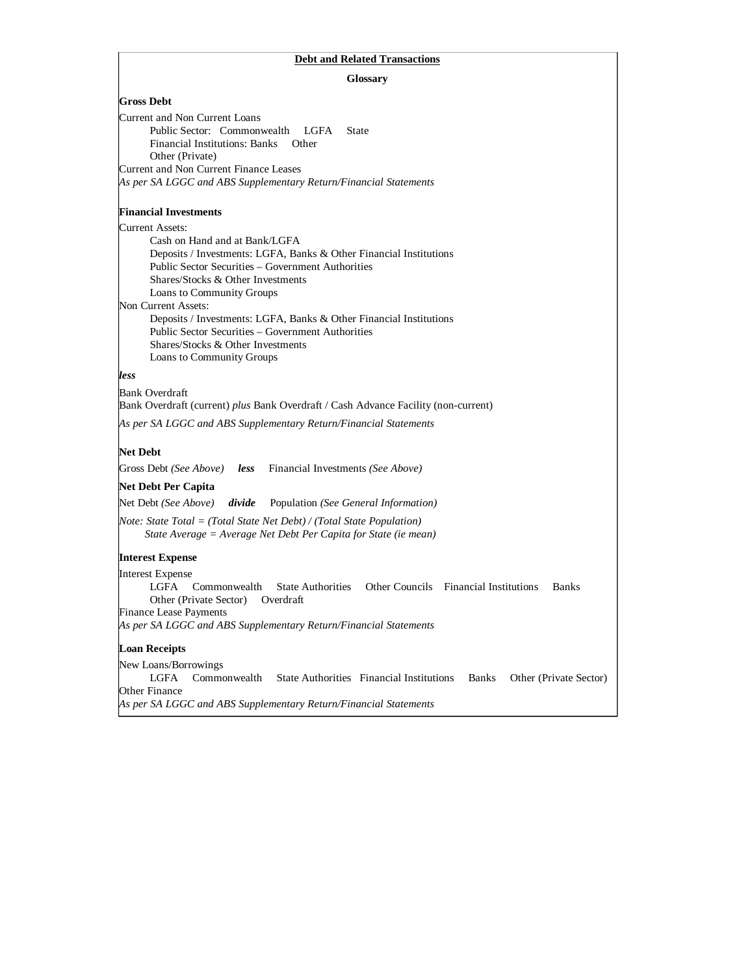#### **Debt and Related Transactions**

#### **Glossary**

#### **Gross Debt**

| Current and Non Current Loans                                    |              |
|------------------------------------------------------------------|--------------|
| Public Sector: Commonwealth LGFA                                 | <b>State</b> |
| Financial Institutions: Banks Other                              |              |
| Other (Private)                                                  |              |
| Current and Non Current Finance Leases                           |              |
| As per SA LGGC and ABS Supplementary Return/Financial Statements |              |

#### **Financial Investments**

#### Current Assets:

 Cash on Hand and at Bank/LGFA Deposits / Investments: LGFA, Banks & Other Financial Institutions Public Sector Securities – Government Authorities Shares/Stocks & Other Investments Loans to Community Groups Non Current Assets: Deposits / Investments: LGFA, Banks & Other Financial Institutions Public Sector Securities – Government Authorities

*less*

Bank Overdraft Bank Overdraft (current) *plus* Bank Overdraft / Cash Advance Facility (non-current) *As per SA LGGC and ABS Supplementary Return/Financial Statements*

## **Net Debt**

Gross Debt *(See Above) less* Financial Investments *(See Above)* 

 Shares/Stocks & Other Investments Loans to Community Groups

#### **Net Debt Per Capita**

Net Debt *(See Above) divide* Population *(See General Information)* 

*Note: State Total = (Total State Net Debt) / (Total State Population) State Average = Average Net Debt Per Capita for State (ie mean)* 

## **Interest Expense**

Interest Expense LGFA Commonwealth State Authorities Other Councils Financial Institutions Banks Other (Private Sector) Overdraft Finance Lease Payments *As per SA LGGC and ABS Supplementary Return/Financial Statements*

## **Loan Receipts**

New Loans/Borrowings<br>LGFA Commonwealth State Authorities Financial Institutions Banks Other (Private Sector) Other Finance *As per SA LGGC and ABS Supplementary Return/Financial Statements*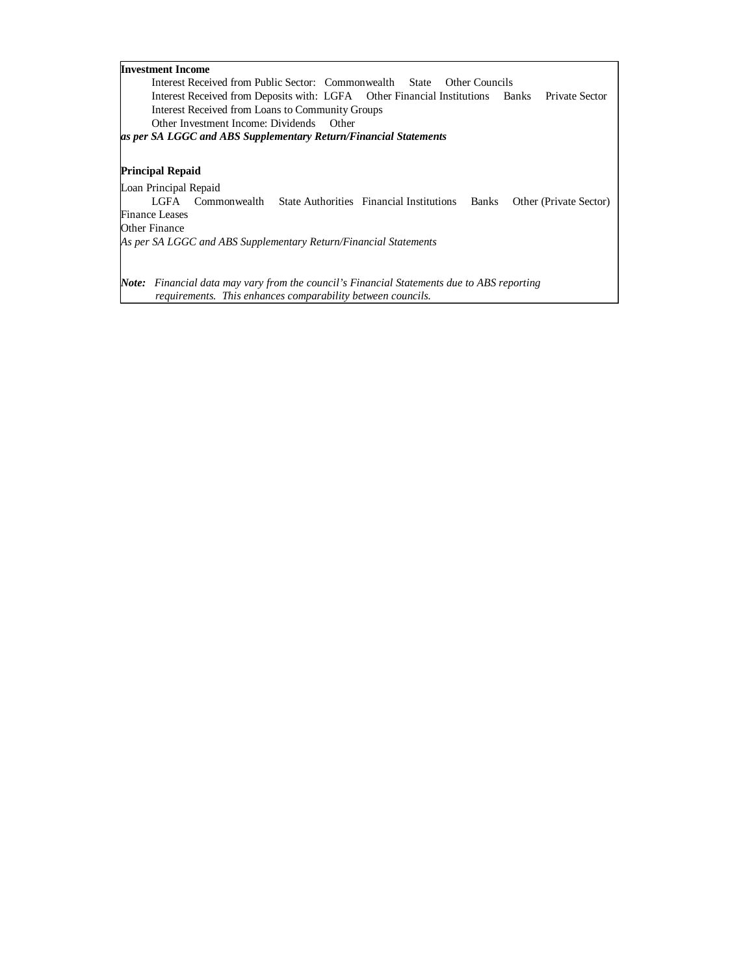| <b>Investment Income</b>                                                                                 |
|----------------------------------------------------------------------------------------------------------|
| Interest Received from Public Sector: Commonwealth State Other Councils                                  |
| Interest Received from Deposits with: LGFA  Other Financial Institutions  Banks<br><b>Private Sector</b> |
| Interest Received from Loans to Community Groups                                                         |
| Other Investment Income: Dividends Other                                                                 |
| as per SA LGGC and ABS Supplementary Return/Financial Statements                                         |
|                                                                                                          |
| <b>Principal Repaid</b>                                                                                  |
| Loan Principal Repaid                                                                                    |
| LGFA Commonwealth<br>State Authorities Financial Institutions Banks<br>Other (Private Sector)            |
| Finance Leases                                                                                           |
| Other Finance                                                                                            |
| As per SA LGGC and ABS Supplementary Return/Financial Statements                                         |
|                                                                                                          |
|                                                                                                          |
| <b>Note:</b> Financial data may vary from the council's Financial Statements due to ABS reporting        |
| requirements. This enhances comparability between councils.                                              |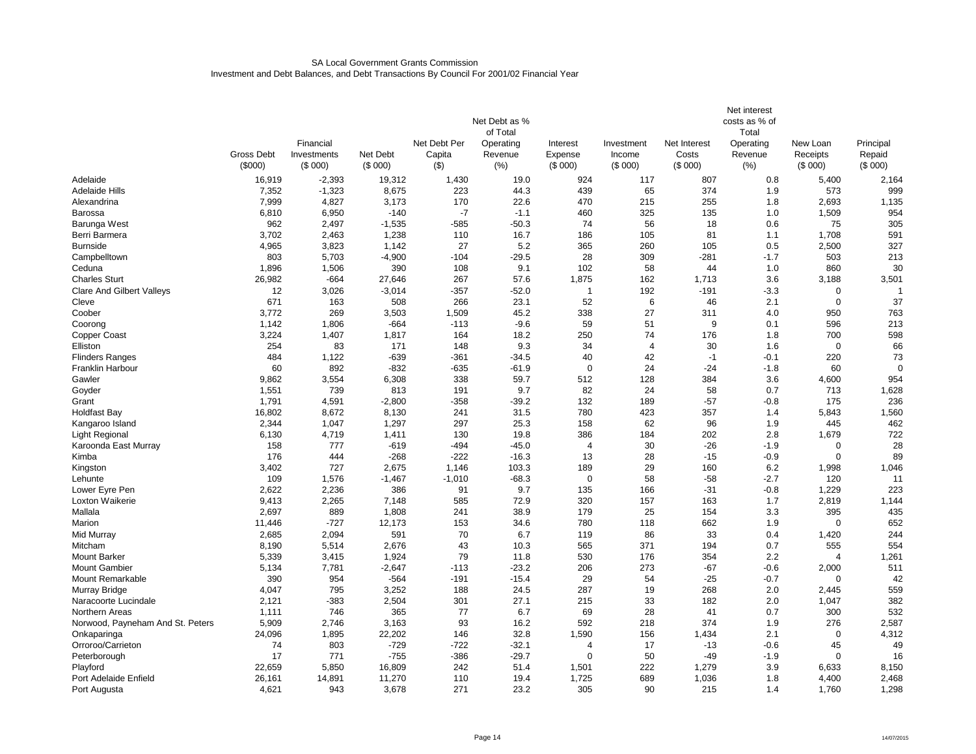#### SA Local Government Grants CommissionInvestment and Debt Balances, and Debt Transactions By Council For 2001/02 Financial Year

|                                  |                                                     |                        |                     |                   |                |                         |                   |                  | Net interest    |                     |                   |  |
|----------------------------------|-----------------------------------------------------|------------------------|---------------------|-------------------|----------------|-------------------------|-------------------|------------------|-----------------|---------------------|-------------------|--|
|                                  | Net Debt as %<br>costs as % of<br>of Total<br>Total |                        |                     |                   |                |                         |                   |                  |                 |                     |                   |  |
|                                  |                                                     | Financial              |                     | Net Debt Per      | Operating      | Interest                | Investment        | Net Interest     | Operating       | New Loan            | Principal         |  |
|                                  | Gross Debt<br>(\$000)                               | Investments<br>(\$000) | Net Debt<br>(\$000) | Capita<br>$($ \$) | Revenue<br>(%) | Expense<br>(\$000)      | Income<br>(\$000) | Costs<br>(\$000) | Revenue<br>(% ) | Receipts<br>(\$000) | Repaid<br>(\$000) |  |
| Adelaide                         | 16,919                                              | $-2,393$               | 19,312              | 1,430             | 19.0           | 924                     | 117               | 807              | 0.8             | 5,400               | 2,164             |  |
| <b>Adelaide Hills</b>            | 7,352                                               | $-1,323$               | 8,675               | 223               | 44.3           | 439                     | 65                | 374              | 1.9             | 573                 | 999               |  |
| Alexandrina                      | 7,999                                               | 4,827                  | 3,173               | 170               | 22.6           | 470                     | 215               | 255              | 1.8             | 2,693               | 1,135             |  |
| <b>Barossa</b>                   | 6,810                                               | 6,950                  | $-140$              | $-7$              | $-1.1$         | 460                     | 325               | 135              | 1.0             | 1,509               | 954               |  |
| Barunga West                     | 962                                                 | 2,497                  | $-1,535$            | $-585$            | $-50.3$        | 74                      | 56                | 18               | 0.6             | 75                  | 305               |  |
| Berri Barmera                    | 3,702                                               | 2,463                  | 1,238               | 110               | 16.7           | 186                     | 105               | 81               | 1.1             | 1,708               | 591               |  |
| <b>Burnside</b>                  | 4,965                                               | 3,823                  | 1,142               | 27                | 5.2            | 365                     | 260               | 105              | 0.5             | 2,500               | 327               |  |
| Campbelltown                     | 803                                                 | 5,703                  | $-4,900$            | $-104$            | $-29.5$        | 28                      | 309               | $-281$           | $-1.7$          | 503                 | 213               |  |
| Ceduna                           | 1,896                                               | 1,506                  | 390                 | 108               | 9.1            | 102                     | 58                | 44               | 1.0             | 860                 | 30                |  |
| <b>Charles Sturt</b>             | 26,982                                              | $-664$                 | 27,646              | 267               | 57.6           | 1,875                   | 162               | 1,713            | 3.6             | 3,188               | 3,501             |  |
| <b>Clare And Gilbert Valleys</b> | 12                                                  | 3,026                  | $-3,014$            | $-357$            | $-52.0$        | $\overline{\mathbf{1}}$ | 192               | -191             | $-3.3$          | $\mathbf 0$         |                   |  |
| Cleve                            | 671                                                 | 163                    | 508                 | 266               | 23.1           | 52                      | $6\phantom{1}6$   | 46               | 2.1             | $\mathbf 0$         | 37                |  |
| Coober                           | 3,772                                               | 269                    | 3,503               | 1,509             | 45.2           | 338                     | 27                | 311              | 4.0             | 950                 | 763               |  |
| Coorong                          | 1,142                                               | 1,806                  | $-664$              | $-113$            | $-9.6$         | 59                      | 51                | 9                | 0.1             | 596                 | 213               |  |
| <b>Copper Coast</b>              | 3,224                                               | 1,407                  | 1,817               | 164               | 18.2           | 250                     | 74                | 176              | 1.8             | 700                 | 598               |  |
| Elliston                         | 254                                                 | 83                     | 171                 | 148               | 9.3            | 34                      | $\overline{4}$    | 30               | 1.6             | $\mathbf 0$         | 66                |  |
| <b>Flinders Ranges</b>           | 484                                                 | 1,122                  | $-639$              | $-361$            | $-34.5$        | 40                      | 42                | $-1$             | $-0.1$          | 220                 | 73                |  |
| Franklin Harbour                 | 60                                                  | 892                    | $-832$              | $-635$            | $-61.9$        | 0                       | 24                | $-24$            | $-1.8$          | 60                  |                   |  |
| Gawler                           | 9,862                                               | 3,554                  | 6,308               | 338               | 59.7           | 512                     | 128               | 384              | 3.6             | 4,600               | 954               |  |
| Goyder                           | 1,551                                               | 739                    | 813                 | 191               | 9.7            | 82                      | 24                | 58               | 0.7             | 713                 | 1,628             |  |
| Grant                            | 1,791                                               | 4,591                  | $-2,800$            | $-358$            | $-39.2$        | 132                     | 189               | $-57$            | $-0.8$          | 175                 | 236               |  |
| Holdfast Bay                     | 16,802                                              | 8,672                  | 8,130               | 241               | 31.5           | 780                     | 423               | 357              | 1.4             | 5,843               | 1,560             |  |
| Kangaroo Island                  | 2,344                                               | 1,047                  | 1,297               | 297               | 25.3           | 158                     | 62                | 96               | 1.9             | 445                 | 462               |  |
| <b>Light Regional</b>            | 6,130                                               | 4,719                  | 1,411               | 130               | 19.8           | 386                     | 184               | 202              | 2.8             | 1,679               | 722               |  |
| Karoonda East Murray             | 158                                                 | 777                    | $-619$              | $-494$            | $-45.0$        | 4                       | 30                | $-26$            | $-1.9$          | $\mathbf 0$         | 28                |  |
| Kimba                            | 176                                                 | 444                    | $-268$              | $-222$            | $-16.3$        | 13                      | 28                | $-15$            | $-0.9$          | $\Omega$            | 89                |  |
| Kingston                         | 3,402                                               | 727                    | 2,675               | 1,146             | 103.3          | 189                     | 29                | 160              | 6.2             | 1,998               | 1,046             |  |
| Lehunte                          | 109                                                 | 1,576                  | $-1,467$            | $-1,010$          | $-68.3$        | 0                       | 58                | $-58$            | $-2.7$          | 120                 | 11                |  |
| Lower Eyre Pen                   | 2,622                                               | 2,236                  | 386                 | 91                | 9.7            | 135                     | 166               | $-31$            | $-0.8$          | 1,229               | 223               |  |
| Loxton Waikerie                  | 9,413                                               | 2,265                  | 7,148               | 585               | 72.9           | 320                     | 157               | 163              | 1.7             | 2,819               | 1,144             |  |
| Mallala                          | 2,697                                               | 889                    | 1,808               | 241               | 38.9           | 179                     | 25                | 154              | 3.3             | 395                 | 435               |  |
| Marion                           | 11,446                                              | $-727$                 | 12,173              | 153               | 34.6           | 780                     | 118               | 662              | 1.9             | $\mathbf 0$         | 652               |  |
| Mid Murray                       | 2,685                                               | 2,094                  | 591                 | 70                | 6.7            | 119                     | 86                | 33               | 0.4             | 1,420               | 244               |  |
| Mitcham                          | 8,190                                               | 5,514                  | 2,676               | 43                | 10.3           | 565                     | 371               | 194              | 0.7             | 555                 | 554               |  |
| <b>Mount Barker</b>              | 5,339                                               | 3,415                  | 1,924               | 79                | 11.8           | 530                     | 176               | 354              | 2.2             | $\overline{4}$      | 1,261             |  |
| <b>Mount Gambier</b>             | 5,134                                               | 7,781                  | $-2,647$            | $-113$            | $-23.2$        | 206                     | 273               | $-67$            | $-0.6$          | 2,000               | 511               |  |
| Mount Remarkable                 | 390                                                 | 954                    | $-564$              | $-191$            | $-15.4$        | 29                      | 54                | $-25$            | $-0.7$          | $\Omega$            | 42                |  |
| Murray Bridge                    | 4,047                                               | 795                    | 3,252               | 188               | 24.5           | 287                     | 19                | 268              | 2.0             | 2,445               | 559               |  |
| Naracoorte Lucindale             | 2,121                                               | $-383$                 | 2,504               | 301               | 27.1           | 215                     | 33                | 182              | 2.0             | 1,047               | 382               |  |
| Northern Areas                   | 1,111                                               | 746                    | 365                 | 77                | 6.7            | 69                      | 28                | 41               | 0.7             | 300                 | 532               |  |
| Norwood, Payneham And St. Peters | 5,909                                               | 2,746                  | 3,163               | 93                | 16.2           | 592                     | 218               | 374              | 1.9             | 276                 | 2,587             |  |
| Onkaparinga                      | 24,096                                              | 1,895                  | 22,202              | 146               | 32.8           | 1,590                   | 156               | 1,434            | 2.1             | $\mathbf 0$         | 4,312             |  |
| Orroroo/Carrieton                | 74                                                  | 803                    | $-729$              | $-722$            | $-32.1$        | $\overline{4}$          | 17                | $-13$            | $-0.6$          | 45                  | 49                |  |
| Peterborough                     | 17                                                  | 771                    | $-755$              | $-386$            | $-29.7$        | 0                       | 50                | $-49$            | $-1.9$          | $\mathbf 0$         | 16                |  |
| Playford                         | 22,659                                              | 5,850                  | 16,809              | 242               | 51.4           | 1,501                   | 222               | 1,279            | 3.9             | 6,633               | 8,150             |  |
| Port Adelaide Enfield            | 26,161                                              | 14,891                 | 11,270              | 110               | 19.4           | 1,725                   | 689               | 1,036            | 1.8             | 4,400               | 2,468             |  |
| Port Augusta                     | 4,621                                               | 943                    | 3.678               | 271               | 23.2           | 305                     | 90                | 215              | 1.4             | 1.760               | 1,298             |  |